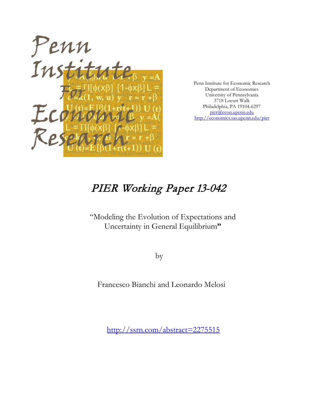

Penn Institute for Economic Research Department of Economics University of Pennsylvania 3718 Locust Walk Philadelphia, PA 19104-6297 [pier@econ.upenn.edu](mailto:pier@econ.upenn.edu) <http://economics.sas.upenn.edu/pier>

# PIER Working Paper 13-042

"Modeling the Evolution of Expectations and Uncertainty in General Equilibrium**"**

by

Francesco Bianchi and Leonardo Melosi

[http://ssrn.com/abstract=2](http://ssrn.com/abstract_id=)275515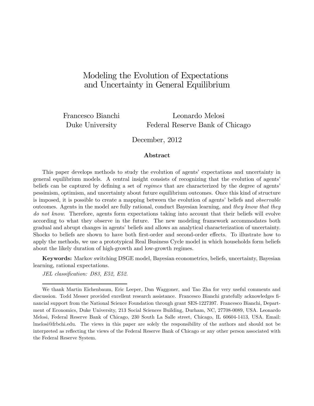# Modeling the Evolution of Expectations and Uncertainty in General Equilibrium

Francesco Bianchi Leonardo Melosi Duke University Federal Reserve Bank of Chicago

December, 2012

#### Abstract

This paper develops methods to study the evolution of agents' expectations and uncertainty in general equilibrium models. A central insight consists of recognizing that the evolution of agents' beliefs can be captured by defining a set of *regimes* that are characterized by the degree of agents' pessimism, optimism, and uncertainty about future equilibrium outcomes. Once this kind of structure is imposed, it is possible to create a mapping between the evolution of agents' beliefs and *observable* outcomes. Agents in the model are fully rational, conduct Bayesian learning, and they know that they do not know. Therefore, agents form expectations taking into account that their beliefs will evolve according to what they observe in the future. The new modeling framework accommodates both gradual and abrupt changes in agents' beliefs and allows an analytical characterization of uncertainty. Shocks to beliefs are shown to have both first-order and second-order effects. To illustrate how to apply the methods, we use a prototypical Real Business Cycle model in which households form beliefs about the likely duration of high-growth and low-growth regimes.

Keywords: Markov switching DSGE model, Bayesian econometrics, beliefs, uncertainty, Bayesian learning, rational expectations.

JEL classification: D83, E52, E52.

We thank Martin Eichenbaum, Eric Leeper, Dan Waggoner, and Tao Zha for very useful comments and discussion. Todd Messer provided excellent research assistance. Francesco Bianchi gratefully acknowledges Önancial support from the National Science Foundation through grant SES-1227397. Francesco Bianchi, Department of Economics, Duke University, 213 Social Sciences Building, Durham, NC, 27708-0089, USA. Leonardo Melosi, Federal Reserve Bank of Chicago, 230 South La Salle street, Chicago, IL 60604-1413, USA. Email: lmelosi@frbchi.edu. The views in this paper are solely the responsibility of the authors and should not be interpreted as reflecting the views of the Federal Reserve Bank of Chicago or any other person associated with the Federal Reserve System.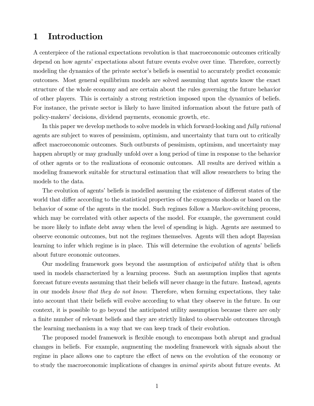### 1 Introduction

A centerpiece of the rational expectations revolution is that macroeconomic outcomes critically depend on how agents' expectations about future events evolve over time. Therefore, correctly modeling the dynamics of the private sector's beliefs is essential to accurately predict economic outcomes. Most general equilibrium models are solved assuming that agents know the exact structure of the whole economy and are certain about the rules governing the future behavior of other players. This is certainly a strong restriction imposed upon the dynamics of beliefs. For instance, the private sector is likely to have limited information about the future path of policy-makers' decisions, dividend payments, economic growth, etc.

In this paper we develop methods to solve models in which forward-looking and *fully rational* agents are subject to waves of pessimism, optimism, and uncertainty that turn out to critically a§ect macroeconomic outcomes. Such outbursts of pessimism, optimism, and uncertainty may happen abruptly or may gradually unfold over a long period of time in response to the behavior of other agents or to the realizations of economic outcomes. All results are derived within a modeling framework suitable for structural estimation that will allow researchers to bring the models to the data.

The evolution of agents' beliefs is modelled assuming the existence of different states of the world that differ according to the statistical properties of the exogenous shocks or based on the behavior of some of the agents in the model. Such regimes follow a Markov-switching process, which may be correlated with other aspects of the model. For example, the government could be more likely to ináate debt away when the level of spending is high. Agents are assumed to observe economic outcomes, but not the regimes themselves. Agents will then adopt Bayesian learning to infer which regime is in place. This will determine the evolution of agents' beliefs about future economic outcomes.

Our modeling framework goes beyond the assumption of *anticipated utility* that is often used in models characterized by a learning process. Such an assumption implies that agents forecast future events assuming that their beliefs will never change in the future. Instead, agents in our models know that they do not know. Therefore, when forming expectations, they take into account that their beliefs will evolve according to what they observe in the future. In our context, it is possible to go beyond the anticipated utility assumption because there are only a finite number of relevant beliefs and they are strictly linked to observable outcomes through the learning mechanism in a way that we can keep track of their evolution.

The proposed model framework is flexible enough to encompass both abrupt and gradual changes in beliefs. For example, augmenting the modeling framework with signals about the regime in place allows one to capture the effect of news on the evolution of the economy or to study the macroeconomic implications of changes in *animal spirits* about future events. At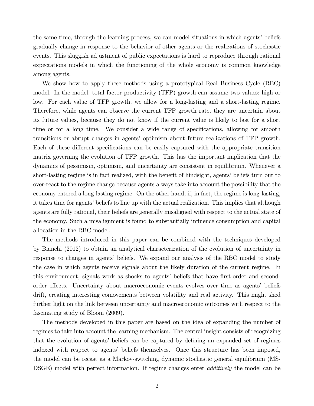the same time, through the learning process, we can model situations in which agents' beliefs gradually change in response to the behavior of other agents or the realizations of stochastic events. This sluggish adjustment of public expectations is hard to reproduce through rational expectations models in which the functioning of the whole economy is common knowledge among agents.

We show how to apply these methods using a prototypical Real Business Cycle (RBC) model. In the model, total factor productivity (TFP) growth can assume two values: high or low. For each value of TFP growth, we allow for a long-lasting and a short-lasting regime. Therefore, while agents can observe the current TFP growth rate, they are uncertain about its future values, because they do not know if the current value is likely to last for a short time or for a long time. We consider a wide range of specifications, allowing for smooth transitions or abrupt changes in agentsí optimism about future realizations of TFP growth. Each of these different specifications can be easily captured with the appropriate transition matrix governing the evolution of TFP growth. This has the important implication that the dynamics of pessimism, optimism, and uncertainty are consistent in equilibrium. Whenever a short-lasting regime is in fact realized, with the benefit of hindsight, agents' beliefs turn out to over-react to the regime change because agents always take into account the possibility that the economy entered a long-lasting regime. On the other hand, if, in fact, the regime is long-lasting, it takes time for agents' beliefs to line up with the actual realization. This implies that although agents are fully rational, their beliefs are generally misaligned with respect to the actual state of the economy. Such a misalignment is found to substantially influence consumption and capital allocation in the RBC model.

The methods introduced in this paper can be combined with the techniques developed by Bianchi (2012) to obtain an analytical characterization of the evolution of uncertainty in response to changes in agents' beliefs. We expand our analysis of the RBC model to study the case in which agents receive signals about the likely duration of the current regime. In this environment, signals work as shocks to agents' beliefs that have first-order and secondorder effects. Uncertainty about macroeconomic events evolves over time as agents' beliefs drift, creating interesting comovements between volatility and real activity. This might shed further light on the link between uncertainty and macroeconomic outcomes with respect to the fascinating study of Bloom (2009).

The methods developed in this paper are based on the idea of expanding the number of regimes to take into account the learning mechanism. The central insight consists of recognizing that the evolution of agents' beliefs can be captured by defining an expanded set of regimes indexed with respect to agents' beliefs themselves. Once this structure has been imposed, the model can be recast as a Markov-switching dynamic stochastic general equilibrium (MS-DSGE) model with perfect information. If regime changes enter *additively* the model can be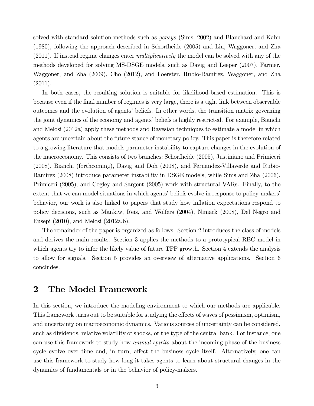solved with standard solution methods such as *gensys* (Sims, 2002) and Blanchard and Kahn (1980), following the approach described in Schorfheide (2005) and Liu, Waggoner, and Zha (2011). If instead regime changes enter *multiplicatively* the model can be solved with any of the methods developed for solving MS-DSGE models, such as Davig and Leeper (2007), Farmer, Waggoner, and Zha (2009), Cho (2012), and Foerster, Rubio-Ramirez, Waggoner, and Zha (2011).

In both cases, the resulting solution is suitable for likelihood-based estimation. This is because even if the Önal number of regimes is very large, there is a tight link between observable outcomes and the evolution of agents' beliefs. In other words, the transition matrix governing the joint dynamics of the economy and agents' beliefs is highly restricted. For example, Bianchi and Melosi (2012a) apply these methods and Bayesian techniques to estimate a model in which agents are uncertain about the future stance of monetary policy. This paper is therefore related to a growing literature that models parameter instability to capture changes in the evolution of the macroeconomy. This consists of two branches: Schorfheide (2005), Justiniano and Primiceri (2008), Bianchi (forthcoming), Davig and Doh (2008), and Fernandez-Villaverde and Rubio-Ramirez (2008) introduce parameter instability in DSGE models, while Sims and Zha (2006), Primiceri (2005), and Cogley and Sargent (2005) work with structural VARs. Finally, to the extent that we can model situations in which agents' beliefs evolve in response to policy-makers' behavior, our work is also linked to papers that study how ináation expectations respond to policy decisions, such as Mankiw, Reis, and Wolfers (2004), Nimark (2008), Del Negro and Eusepi (2010), and Melosi (2012a,b).

The remainder of the paper is organized as follows. Section 2 introduces the class of models and derives the main results. Section 3 applies the methods to a prototypical RBC model in which agents try to infer the likely value of future TFP growth. Section 4 extends the analysis to allow for signals. Section 5 provides an overview of alternative applications. Section 6 concludes.

### 2 The Model Framework

In this section, we introduce the modeling environment to which our methods are applicable. This framework turns out to be suitable for studying the effects of waves of pessimism, optimism, and uncertainty on macroeconomic dynamics. Various sources of uncertainty can be considered, such as dividends, relative volatility of shocks, or the type of the central bank. For instance, one can use this framework to study how animal spirits about the incoming phase of the business cycle evolve over time and, in turn, affect the business cycle itself. Alternatively, one can use this framework to study how long it takes agents to learn about structural changes in the dynamics of fundamentals or in the behavior of policy-makers.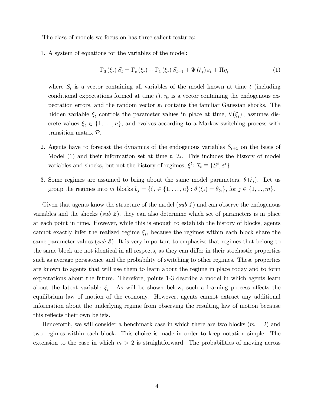The class of models we focus on has three salient features:

1. A system of equations for the variables of the model:

$$
\Gamma_{0}\left(\xi_{t}\right)S_{t} = \Gamma_{c}\left(\xi_{t}\right) + \Gamma_{1}\left(\xi_{t}\right)S_{t-1} + \Psi\left(\xi_{t}\right)\varepsilon_{t} + \Pi\eta_{t} \tag{1}
$$

where  $S_t$  is a vector containing all variables of the model known at time t (including conditional expectations formed at time  $t$ ),  $\eta_t$  is a vector containing the endogenous expectation errors, and the random vector  $\varepsilon_t$  contains the familiar Gaussian shocks. The hidden variable  $\xi_t$  controls the parameter values in place at time,  $\theta(\xi_t)$ , assumes discrete values  $\xi_t \in \{1, \ldots, n\}$ , and evolves according to a Markov-switching process with transition matrix P.

- 2. Agents have to forecast the dynamics of the endogenous variables  $S_{t+1}$  on the basis of Model (1) and their information set at time  $t$ ,  $\mathcal{I}_t$ . This includes the history of model variables and shocks, but not the history of regimes,  $\xi^t$ :  $\mathcal{I}_t \equiv \{S^t, \varepsilon^t\}$ .
- 3. Some regimes are assumed to bring about the same model parameters,  $\theta(\xi_t)$ . Let us group the regimes into m blocks  $b_j = \{\xi_t \in \{1, ..., n\} : \theta(\xi_t) = \theta_{b_i}\}\)$ , for  $j \in \{1, ..., m\}$ .

Given that agents know the structure of the model (sub 1) and can observe the endogenous variables and the shocks (sub 2), they can also determine which set of parameters is in place at each point in time. However, while this is enough to establish the history of blocks, agents cannot exactly infer the realized regime  $\xi_t$ , because the regimes within each block share the same parameter values (sub 3). It is very important to emphasize that regimes that belong to the same block are not identical in all respects, as they can differ in their stochastic properties such as average persistence and the probability of switching to other regimes. These properties are known to agents that will use them to learn about the regime in place today and to form expectations about the future. Therefore, points 1-3 describe a model in which agents learn about the latent variable  $\xi_t$ . As will be shown below, such a learning process affects the equilibrium law of motion of the economy. However, agents cannot extract any additional information about the underlying regime from observing the resulting law of motion because this reflects their own beliefs.

Henceforth, we will consider a benchmark case in which there are two blocks  $(m = 2)$  and two regimes within each block. This choice is made in order to keep notation simple. The extension to the case in which  $m > 2$  is straightforward. The probabilities of moving across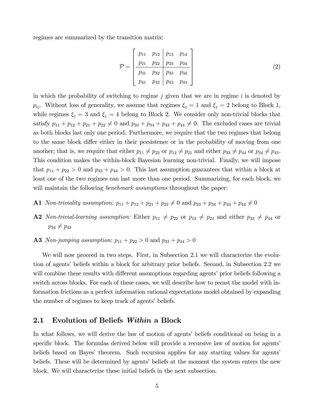regimes are summarized by the transition matrix:

$$
\mathcal{P} = \begin{bmatrix} p_{11} & p_{12} & p_{13} & p_{14} \\ p_{21} & p_{22} & p_{23} & p_{24} \\ p_{31} & p_{32} & p_{33} & p_{34} \\ p_{41} & p_{42} & p_{43} & p_{44} \end{bmatrix}
$$
 (2)

in which the probability of switching to regime j given that we are in regime i is denoted by  $p_{ij}$ . Without loss of generality, we assume that regimes  $\xi_t = 1$  and  $\xi_t = 2$  belong to Block 1, while regimes  $\xi_t = 3$  and  $\xi_t = 4$  belong to Block 2. We consider only non-trivial blocks that satisfy  $p_{11} + p_{12} + p_{21} + p_{22} \neq 0$  and  $p_{33} + p_{34} + p_{43} \neq 0$ . The excluded cases are trivial as both blocks last only one period. Furthermore, we require that the two regimes that belong to the same block differ either in their persistence or in the probability of moving from one another; that is, we require that either  $p_{11} \neq p_{22}$  or  $p_{12} \neq p_{21}$  and either  $p_{33} \neq p_{44}$  or  $p_{34} \neq p_{43}$ . This condition makes the within-block Bayesian learning non-trivial. Finally, we will impose that  $p_{11} + p_{22} > 0$  and  $p_{33} + p_{44} > 0$ . This last assumption guarantees that within a block at least one of the two regimes can last more than one period. Summarizing, for each block, we will maintain the following *benchmark assumptions* throughout the paper:

- A1 *Non-triviality assumption:*  $p_{11} + p_{12} + p_{21} + p_{22} \neq 0$  and  $p_{33} + p_{34} + p_{43} + p_{44} \neq 0$
- A2 Non-trivial-learning assumption: Either  $p_{11} \neq p_{22}$  or  $p_{12} \neq p_{21}$  and either  $p_{33} \neq p_{44}$  or  $p_{34} \neq p_{43}$
- **A3** Non-jumping assumption:  $p_{11} + p_{22} > 0$  and  $p_{33} + p_{44} > 0$

We will now proceed in two steps. First, in Subsection 2.1 we will characterize the evolution of agents' beliefs within a block for arbitrary prior beliefs. Second, in Subsection 2.2 we will combine these results with different assumptions regarding agents' prior beliefs following a switch across blocks. For each of these cases, we will describe how to recast the model with information frictions as a perfect information rational expectations model obtained by expanding the number of regimes to keep track of agents' beliefs.

#### 2.1 Evolution of Beliefs Within a Block

In what follows, we will derive the law of motion of agents' beliefs conditional on being in a specific block. The formulas derived below will provide a recursive law of motion for agents' beliefs based on Bayes' theorem. Such recursion applies for any starting values for agents' beliefs. These will be determined by agents' beliefs at the moment the system enters the new block. We will characterize these initial beliefs in the next subsection.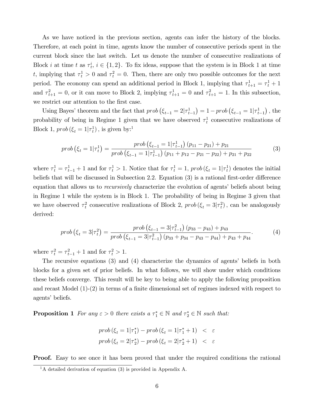As we have noticed in the previous section, agents can infer the history of the blocks. Therefore, at each point in time, agents know the number of consecutive periods spent in the current block since the last switch. Let us denote the number of consecutive realizations of Block *i* at time *t* as  $\tau_t^i$ ,  $i \in \{1, 2\}$ . To fix ideas, suppose that the system is in Block 1 at time t, implying that  $\tau_t^1 > 0$  and  $\tau_t^2 = 0$ . Then, there are only two possible outcomes for the next period. The economy can spend an additional period in Block 1, implying that  $\tau_{t+1}^1 = \tau_t^1 + 1$ and  $\tau_{t+1}^2 = 0$ , or it can move to Block 2, implying  $\tau_{t+1}^1 = 0$  and  $\tau_{t+1}^2 = 1$ . In this subsection, we restrict our attention to the first case.

Using Bayes' theorem and the fact that  $prob(\xi_{t-1} = 2|\tau_{t-1}^1) = 1 - prob(\xi_{t-1} = 1|\tau_{t-1}^1)$ , the probability of being in Regime 1 given that we have observed  $\tau_t^1$  consecutive realizations of Block 1,  $prob(\xi_t = 1 | \tau_t^1)$ , is given by:<sup>1</sup>

$$
prob\left(\xi_{t}=1|\tau_{t}^{1}\right)=\frac{prob\left(\xi_{t-1}=1|\tau_{t-1}^{1}\right)\left(p_{11}-p_{21}\right)+p_{21}}{prob\left(\xi_{t-1}=1|\tau_{t-1}^{1}\right)\left(p_{11}+p_{12}-p_{21}-p_{22}\right)+p_{21}+p_{22}}\tag{3}
$$

where  $\tau_t^1 = \tau_{t-1}^1 + 1$  and for  $\tau_t^1 > 1$ . Notice that for  $\tau_t^1 = 1$ , prob $(\xi_t = 1 | \tau_t^1)$  denotes the initial beliefs that will be discussed in Subsection 2.2. Equation  $(3)$  is a rational first-order difference equation that allows us to *recursively* characterize the evolution of agents' beliefs about being in Regime 1 while the system is in Block 1. The probability of being in Regime 3 given that we have observed  $\tau_t^2$  consecutive realizations of Block 2,  $prob(\xi_t = 3|\tau_t^2)$ , can be analogously derived:

$$
prob\left(\xi_{t}=3|\tau_{t}^{2}\right)=\frac{prob\left(\xi_{t-1}=3|\tau_{t-1}^{2}\right)\left(p_{33}-p_{43}\right)+p_{43}}{prob\left(\xi_{t-1}=3|\tau_{t-1}^{2}\right)\left(p_{33}+p_{34}-p_{43}-p_{44}\right)+p_{43}+p_{44}}.\tag{4}
$$

where  $\tau_t^2 = \tau_{t-1}^2 + 1$  and for  $\tau_t^2 > 1$ .

The recursive equations  $(3)$  and  $(4)$  characterize the dynamics of agents' beliefs in both blocks for a given set of prior beliefs. In what follows, we will show under which conditions these beliefs converge. This result will be key to being able to apply the following proposition and recast Model  $(1)-(2)$  in terms of a finite dimensional set of regimes indexed with respect to agents' beliefs.

**Proposition 1** For any  $\varepsilon > 0$  there exists a  $\tau_1^* \in \mathbb{N}$  and  $\tau_2^* \in \mathbb{N}$  such that:

$$
prob(\xi_t = 1|\tau_1^*) - prob(\xi_t = 1|\tau_1^* + 1) < \varepsilon
$$
\n
$$
prob(\xi_t = 2|\tau_2^*) - prob(\xi_t = 2|\tau_2^* + 1) < \varepsilon
$$

**Proof.** Easy to see once it has been proved that under the required conditions the rational

 $1_A$  detailed derivation of equation (3) is provided in Appendix A.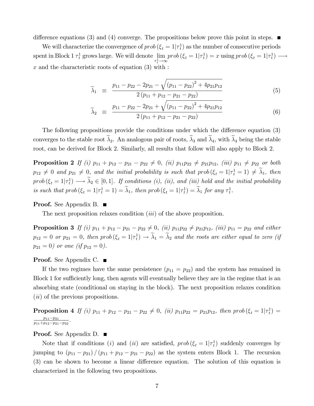difference equations (3) and (4) converge. The propositions below prove this point in steps.  $\blacksquare$ 

We will characterize the convergence of  $prob(\xi_t = 1 | \tau_t^1)$  as the number of consecutive periods spent in Block 1  $\tau_t^1$  grows large. We will denote  $\lim_{\tau_t^1 \to \infty} prob(\xi_t = 1 | \tau_t^1) = x$  using  $prob(\xi_t = 1 | \tau_t^1) \longrightarrow$  $x$  and the characteristic roots of equation  $(3)$  with :

$$
\widetilde{\lambda}_1 \equiv \frac{p_{11} - p_{22} - 2p_{21} - \sqrt{(p_{11} - p_{22})^2 + 4p_{21}p_{12}}}{2(p_{11} + p_{12} - p_{21} - p_{22})} \tag{5}
$$

$$
\widetilde{\lambda}_2 \equiv \frac{p_{11} - p_{22} - 2p_{21} + \sqrt{(p_{11} - p_{22})^2 + 4p_{21}p_{12}}}{2(p_{11} + p_{12} - p_{21} - p_{22})}
$$
\n(6)

The following propositions provide the conditions under which the difference equation  $(3)$ converges to the stable root  $\tilde{\lambda}_2$ . An analogous pair of roots,  $\tilde{\lambda}_3$  and  $\tilde{\lambda}_4$ , with  $\tilde{\lambda}_4$  being the stable root, can be derived for Block 2. Similarly, all results that follow will also apply to Block 2.

**Proposition 2** If (i)  $p_{11} + p_{12} - p_{21} - p_{22} \neq 0$ , (ii)  $p_{11}p_{22} \neq p_{21}p_{12}$ , (iii)  $p_{11} \neq p_{22}$  or both  $p_{12} \neq 0$  and  $p_{21} \neq 0$ , and the initial probability is such that  $prob(\xi_t = 1|\tau_t^1 = 1) \neq \lambda_1$ , then  $prob(\xi_t = 1 | \tau_t^1) \longrightarrow \lambda_2 \in [0, 1].$  If conditions (i), (ii), and (iii) hold and the initial probability is such that  $prob(\xi_t = 1 | \tau_t^1 = 1) = \lambda_1$ , then  $prob(\xi_t = 1 | \tau_t^1) = \lambda_1$  for any  $\tau_t^1$ .

#### **Proof.** See Appendix B. ■

The next proposition relaxes condition *(iii)* of the above proposition.

**Proposition 3** If (i)  $p_{11} + p_{12} - p_{21} - p_{22} \neq 0$ , (ii)  $p_{11}p_{22} \neq p_{21}p_{12}$ , (iii)  $p_{11} = p_{22}$  and either  $p_{12} = 0$  or  $p_{21} = 0$ , then  $prob(\xi_t = 1 | \tau_t^1) \to \lambda_1 = \lambda_2$  and the roots are either equal to zero (if  $p_{21} = 0$ ) or one (if  $p_{12} = 0$ ).

#### **Proof.** See Appendix C.  $\blacksquare$

If the two regimes have the same persistence  $(p_{11} = p_{22})$  and the system has remained in Block 1 for sufficiently long, then agents will eventually believe they are in the regime that is an absorbing state (conditional on staying in the block). The next proposition relaxes condition  $(ii)$  of the previous propositions.

**Proposition 4** If (i)  $p_{11} + p_{12} - p_{21} - p_{22} \neq 0$ , (ii)  $p_{11}p_{22} = p_{21}p_{12}$ , then prob $(\xi_t = 1 | \tau_t^1)$  $p_{11}-p_{21}$  $\frac{p_{11}-p_{21}}{p_{11}+p_{12}-p_{21}-p_{22}}$ .

#### **Proof.** See Appendix D. ■

Note that if conditions (*i*) and (*ii*) are satisfied,  $prob(\xi_t = 1 | \tau_t^1)$  suddenly converges by jumping to  $(p_{11} - p_{21}) / (p_{11} + p_{12} - p_{21} - p_{22})$  as the system enters Block 1. The recursion  $(3)$  can be shown to become a linear difference equation. The solution of this equation is characterized in the following two propositions.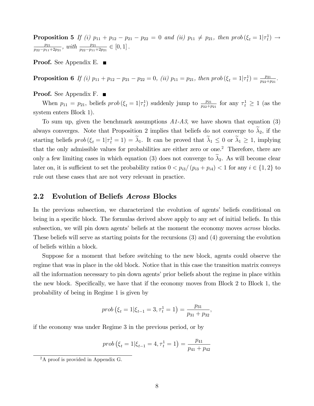**Proposition 5** If (i)  $p_{11} + p_{12} - p_{21} - p_{22} = 0$  and (ii)  $p_{11} \neq p_{21}$ , then prob $(\xi_t = 1 | \tau_t^1) \rightarrow$  $p_{21}$  $\frac{p_{21}}{p_{22}-p_{11}+2p_{21}}$ , with  $\frac{p_{21}}{p_{22}-p_{11}+2p_{21}} \in [0,1]$ .

**Proof.** See Appendix E.  $\blacksquare$ 

**Proposition 6** If (i)  $p_{11} + p_{12} - p_{21} - p_{22} = 0$ , (ii)  $p_{11} = p_{21}$ , then prob $(\xi_t = 1 | \tau_t^1) = \frac{p_{21}}{p_{22} + p_{21}}$ .

**Proof.** See Appendix F. ■

When  $p_{11} = p_{21}$ , beliefs  $prob(\xi_t = 1 | \tau_t^1)$  suddenly jump to  $\frac{p_{21}}{p_{22}+p_{21}}$  for any  $\tau_t^1 \ge 1$  (as the system enters Block 1).

To sum up, given the benchmark assumptions  $A1-A3$ , we have shown that equation (3) always converges. Note that Proposition 2 implies that beliefs do not converge to  $\tilde{\lambda}_2$ , if the starting beliefs  $prob(\xi_t = 1 | \tau_t^1 = 1) = \lambda_1$ . It can be proved that  $\lambda_1 \leq 0$  or  $\lambda_1 \geq 1$ , implying that the only admissible values for probabilities are either zero or one.<sup>2</sup> Therefore, there are only a few limiting cases in which equation (3) does not converge to  $\lambda_2$ . As will become clear later on, it is sufficient to set the probability ratios  $0 < p_{i3}/(p_{i3} + p_{i4}) < 1$  for any  $i \in \{1, 2\}$  to rule out these cases that are not very relevant in practice.

### 2.2 Evolution of Beliefs Across Blocks

In the previous subsection, we characterized the evolution of agents' beliefs conditional on being in a specific block. The formulas derived above apply to any set of initial beliefs. In this subsection, we will pin down agents' beliefs at the moment the economy moves *across* blocks. These beliefs will serve as starting points for the recursions (3) and (4) governing the evolution of beliefs within a block.

Suppose for a moment that before switching to the new block, agents could observe the regime that was in place in the old block. Notice that in this case the transition matrix conveys all the information necessary to pin down agents' prior beliefs about the regime in place within the new block. Specifically, we have that if the economy moves from Block 2 to Block 1, the probability of being in Regime 1 is given by

$$
prob(\xi_t = 1 | \xi_{t-1} = 3, \tau_t^1 = 1) = \frac{p_{31}}{p_{31} + p_{32}},
$$

if the economy was under Regime 3 in the previous period, or by

$$
prob(\xi_t = 1 | \xi_{t-1} = 4, \tau_t^1 = 1) = \frac{p_{41}}{p_{41} + p_{42}}
$$

<sup>&</sup>lt;sup>2</sup>A proof is provided in Appendix G.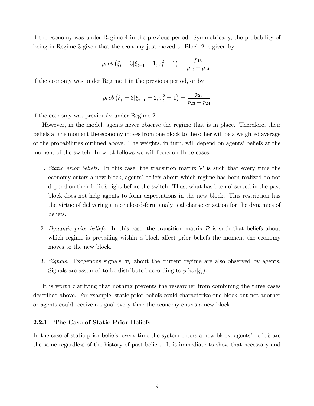if the economy was under Regime 4 in the previous period. Symmetrically, the probability of being in Regime 3 given that the economy just moved to Block 2 is given by

$$
prob(\xi_t = 3 | \xi_{t-1} = 1, \tau_t^2 = 1) = \frac{p_{13}}{p_{13} + p_{14}},
$$

if the economy was under Regime 1 in the previous period, or by

$$
prob(\xi_t = 3 | \xi_{t-1} = 2, \tau_t^2 = 1) = \frac{p_{23}}{p_{23} + p_{24}}
$$

if the economy was previously under Regime 2.

However, in the model, agents never observe the regime that is in place. Therefore, their beliefs at the moment the economy moves from one block to the other will be a weighted average of the probabilities outlined above. The weights, in turn, will depend on agents' beliefs at the moment of the switch. In what follows we will focus on three cases:

- 1. Static prior beliefs. In this case, the transition matrix  $P$  is such that every time the economy enters a new block, agents' beliefs about which regime has been realized do not depend on their beliefs right before the switch. Thus, what has been observed in the past block does not help agents to form expectations in the new block. This restriction has the virtue of delivering a nice closed-form analytical characterization for the dynamics of beliefs.
- 2. Dynamic prior beliefs. In this case, the transition matrix  $P$  is such that beliefs about which regime is prevailing within a block affect prior beliefs the moment the economy moves to the new block.
- 3. Signals. Exogenous signals  $\varpi_t$  about the current regime are also observed by agents. Signals are assumed to be distributed according to  $p(\varpi_t|\xi_t)$ .

It is worth clarifying that nothing prevents the researcher from combining the three cases described above. For example, static prior beliefs could characterize one block but not another or agents could receive a signal every time the economy enters a new block.

#### 2.2.1 The Case of Static Prior Beliefs

In the case of static prior beliefs, every time the system enters a new block, agents' beliefs are the same regardless of the history of past beliefs. It is immediate to show that necessary and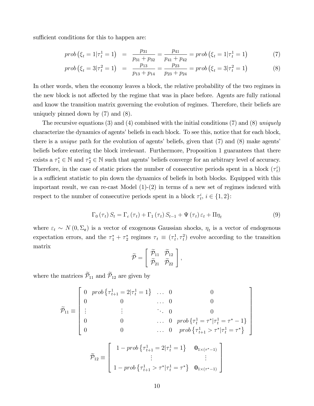sufficient conditions for this to happen are:

$$
prob(\xi_t = 1 | \tau_t^1 = 1) = \frac{p_{31}}{p_{31} + p_{32}} = \frac{p_{41}}{p_{41} + p_{42}} = prob(\xi_t = 1 | \tau_t^1 = 1)
$$
\n(7)

$$
prob(\xi_t = 3|\tau_t^2 = 1) = \frac{p_{13}}{p_{13} + p_{14}} = \frac{p_{23}}{p_{23} + p_{24}} = prob(\xi_t = 3|\tau_t^2 = 1)
$$
\n(8)

In other words, when the economy leaves a block, the relative probability of the two regimes in the new block is not affected by the regime that was in place before. Agents are fully rational and know the transition matrix governing the evolution of regimes. Therefore, their beliefs are uniquely pinned down by (7) and (8).

The recursive equations (3) and (4) combined with the initial conditions (7) and (8) uniquely characterize the dynamics of agents' beliefs in each block. To see this, notice that for each block, there is a *unique* path for the evolution of agents' beliefs, given that  $(7)$  and  $(8)$  make agents' beliefs before entering the block irrelevant. Furthermore, Proposition 1 guarantees that there exists a  $\tau_1^* \in \mathbb{N}$  and  $\tau_2^* \in \mathbb{N}$  such that agents' beliefs converge for an arbitrary level of accuracy. Therefore, in the case of static priors the number of consecutive periods spent in a block  $(\tau_t^i)$ is a sufficient statistic to pin down the dynamics of beliefs in both blocks. Equipped with this important result, we can re-cast Model  $(1)-(2)$  in terms of a new set of regimes indexed with respect to the number of consecutive periods spent in a block  $\tau_t^i$ ,  $i \in \{1, 2\}$ :

$$
\Gamma_0(\tau_t) S_t = \Gamma_c(\tau_t) + \Gamma_1(\tau_t) S_{t-1} + \Psi(\tau_t) \varepsilon_t + \Pi \eta_t \tag{9}
$$

where  $\varepsilon_t \sim N(0, \Sigma_{\epsilon})$  is a vector of exogenous Gaussian shocks,  $\eta_t$  is a vector of endogenous expectation errors, and the  $\tau_1^* + \tau_2^*$  regimes  $\tau_t \equiv (\tau_t^1, \tau_t^2)$  evolve according to the transition matrix

$$
\widetilde{\mathcal{P}} = \left[ \begin{array}{cc} \widetilde{\mathcal{P}}_{11} & \widetilde{\mathcal{P}}_{12} \\ \widetilde{\mathcal{P}}_{21} & \widetilde{\mathcal{P}}_{22} \end{array} \right],
$$

where the matrices  $\widetilde{\mathcal{P}}_{11}$  and  $\widetilde{\mathcal{P}}_{12}$  are given by

$$
\widetilde{\mathcal{P}}_{11} \equiv \begin{bmatrix}\n0 & prob \left\{ \tau_{t+1}^{1} = 2 | \tau_{t}^{1} = 1 \right\} & \dots & 0 & 0 \\
0 & 0 & \dots & 0 & 0 \\
\vdots & \vdots & \ddots & 0 & 0 \\
0 & 0 & \dots & 0 & prob \left\{ \tau_{t}^{1} = \tau^{*} | \tau_{t}^{1} = \tau^{*} - 1 \right\} \\
0 & 0 & \dots & 0 & prob \left\{ \tau_{t+1}^{1} > \tau^{*} | \tau_{t}^{1} = \tau^{*} \right\}\n\end{bmatrix}
$$
\n
$$
\widetilde{\mathcal{P}}_{12} \equiv \begin{bmatrix}\n1 - prob \left\{ \tau_{t+1}^{1} = 2 | \tau_{t}^{1} = 1 \right\} & \mathbf{0}_{1 \times (\tau^{*} - 1)} \\
\vdots & \vdots & \vdots \\
1 - prob \left\{ \tau_{t+1}^{1} > \tau^{*} | \tau_{t}^{1} = \tau^{*} \right\} & \mathbf{0}_{1 \times (\tau^{*} - 1)}\n\end{bmatrix}
$$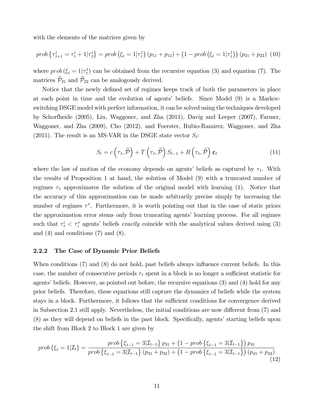with the elements of the matrices given by

$$
prob\left\{\tau_{t+1}^i = \tau_t^i + 1|\tau_t^i\right\} = prob\left(\xi_t = 1|\tau_t^1\right)\left(p_{11} + p_{12}\right) + \left(1 - prob\left(\xi_t = 1|\tau_t^1\right)\right)\left(p_{21} + p_{22}\right) \tag{10}
$$

where  $prob(\xi_t = 1|\tau_t^1)$  can be obtained from the recursive equation (3) and equation (7). The matrices  $\mathcal{P}_{21}$  and  $\mathcal{P}_{22}$  can be analogously derived.

Notice that the newly defined set of regimes keeps track of both the parameters in place at each point in time and the evolution of agents' beliefs. Since Model (9) is a Markovswitching DSGE model with perfect information, it can be solved using the techniques developed by Schorfheide (2005), Liu, Waggoner, and Zha (2011), Davig and Leeper (2007), Farmer, Waggoner, and Zha (2009), Cho (2012), and Foerster, Rubio-Ramirez, Waggoner, and Zha (2011). The result is an MS-VAR in the DSGE state vector  $S_t$ :

$$
S_t = c\left(\tau_t, \widetilde{\mathcal{P}}\right) + T\left(\tau_t, \widetilde{\mathcal{P}}\right) S_{t-1} + R\left(\tau_t, \widetilde{\mathcal{P}}\right) \varepsilon_t \tag{11}
$$

where the law of motion of the economy depends on agents' beliefs as captured by  $\tau_t$ . With the results of Proposition 1 at hand, the solution of Model (9) with a truncated number of regimes  $\tau_t$  approximates the solution of the original model with learning (1). Notice that the accuracy of this approximation can be made arbitrarily precise simply by increasing the number of regimes  $\tau^*$ . Furthermore, it is worth pointing out that in the case of static priors the approximation error stems only from truncating agents' learning process. For all regimes such that  $\tau_i^i < \tau_i^*$  agents' beliefs exactly coincide with the analytical values derived using (3) and  $(4)$  and conditions  $(7)$  and  $(8)$ .

#### 2.2.2 The Case of Dynamic Prior Beliefs

When conditions (7) and (8) do not hold, past beliefs always influence current beliefs. In this case, the number of consecutive periods  $\tau_t$  spent in a block is no longer a sufficient statistic for agents' beliefs. However, as pointed out before, the recursive equations  $(3)$  and  $(4)$  hold for any prior beliefs. Therefore, these equations still capture the dynamics of beliefs while the system stays in a block. Furthermore, it follows that the sufficient conditions for convergence derived in Subsection 2.1 still apply. Nevertheless, the initial conditions are now different from  $(7)$  and (8) as they will depend on beliefs in the past block. Specifically, agents' starting beliefs upon the shift from Block 2 to Block 1 are given by

$$
prob\{\xi_t = 1 | \mathcal{I}_t\} = \frac{prob\left\{\xi_{t-1} = 3 | \mathcal{I}_{t-1}\right\} p_{31} + \left(1 - prob\left\{\xi_{t-1} = 3 | \mathcal{I}_{t-1}\right\}\right) p_{41}}{prob\left\{\xi_{t-1} = 3 | \mathcal{I}_{t-1}\right\} (p_{31} + p_{32}) + \left(1 - prob\left\{\xi_{t-1} = 3 | \mathcal{I}_{t-1}\right\}\right) (p_{41} + p_{42})}
$$
\n(12)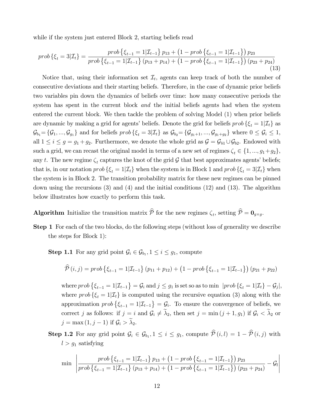while if the system just entered Block 2, starting beliefs read

$$
prob\{\xi_t = 3|\mathcal{I}_t\} = \frac{prob\left\{\xi_{t-1} = 1|\mathcal{I}_{t-1}\right\}p_{13} + \left(1 - prob\left\{\xi_{t-1} = 1|\mathcal{I}_{t-1}\right\}\right)p_{23}}{prob\left\{\xi_{t-1} = 1|\mathcal{I}_{t-1}\right\}\left(p_{13} + p_{14}\right) + \left(1 - prob\left\{\xi_{t-1} = 1|\mathcal{I}_{t-1}\right\}\right)\left(p_{23} + p_{24}\right)}\tag{13}
$$

Notice that, using their information set  $\mathcal{I}_t$ , agents can keep track of both the number of consecutive deviations and their starting beliefs. Therefore, in the case of dynamic prior beliefs two variables pin down the dynamics of beliefs over time: how many consecutive periods the system has spent in the current block and the initial beliefs agents had when the system entered the current block. We then tackle the problem of solving Model (1) when prior beliefs are dynamic by making a grid for agents' beliefs. Denote the grid for beliefs  $prob \{\xi_t = 1 | \mathcal{I}_t\}$  as  $\mathcal{G}_{b_1} = {\mathcal{G}_1, ..., \mathcal{G}_{g_1}}$  and for beliefs  $prob\{\xi_t = 3|\mathcal{I}_t\}$  as  $\mathcal{G}_{b_2} = {\mathcal{G}_{g_1+1}, ..., \mathcal{G}_{g_1+g_2}}$  where  $0 \leq \mathcal{G}_i \leq 1$ , all  $1 \le i \le g = g_1 + g_2$ . Furthermore, we denote the whole grid as  $\mathcal{G} = \mathcal{G}_{b1} \cup \mathcal{G}_{b2}$ . Endowed with such a grid, we can recast the original model in terms of a new set of regimes  $\zeta_t \in \{1, ..., g_1+g_2\},\$ any t. The new regime  $\zeta_t$  captures the knot of the grid  $\mathcal G$  that best approximates agents' beliefs; that is, in our notation  $prob\{\xi_t = 1 | \mathcal{I}_t\}$  when the system is in Block 1 and  $prob\{\xi_t = 3 | \mathcal{I}_t\}$  when the system is in Block 2. The transition probability matrix for these new regimes can be pinned down using the recursions (3) and (4) and the initial conditions (12) and (13). The algorithm below illustrates how exactly to perform this task.

**Algorithm** Initialize the transition matrix  $P$  for the new regimes  $\zeta_t$ , setting  $P = \mathbf{0}_{g \times g}$ .

Step 1 For each of the two blocks, do the following steps (without loss of generality we describe the steps for Block 1):

**Step 1.1** For any grid point  $\mathcal{G}_i \in \mathcal{G}_{b_1}$ ,  $1 \leq i \leq g_1$ , compute

$$
\widehat{\mathcal{P}}(i,j) = prob \left\{ \xi_{t-1} = 1 | \mathcal{I}_{t-1} \right\} (p_{11} + p_{12}) + (1 - prob \left\{ \xi_{t-1} = 1 | \mathcal{I}_{t-1} \right\}) (p_{21} + p_{22})
$$

where  $prob\{\xi_{t-1} = 1 | \mathcal{I}_{t-1}\} = \mathcal{G}_i$  and  $j \leq g_1$  is set so as to min  $|prob\{\xi_t = 1 | \mathcal{I}_t\} - \mathcal{G}_j|$ , where  $prob \{\xi_t = 1 | \mathcal{I}_t\}$  is computed using the recursive equation (3) along with the approximation  $prob\left\{\xi_{t-1} = 1 | \mathcal{I}_{t-1}\right\} = \mathcal{G}_i$ . To ensure the convergence of beliefs, we correct j as follows: if  $j = i$  and  $\mathcal{G}_i \neq \tilde{\lambda}_2$ , then set  $j = \min (j + 1, g_1)$  if  $\mathcal{G}_i < \tilde{\lambda}_2$  or  $j = \max(1, j - 1)$  if  $\mathcal{G}_i > \lambda_2$ .

**Step 1.2** For any grid point  $\mathcal{G}_i \in \mathcal{G}_{b_1}, 1 \leq i \leq g_1$ , compute  $\mathcal{P}(i, l) = 1 - \mathcal{P}(i, j)$  with  $l > g_1$  satisfying

$$
\min \left| \frac{prob\left\{\xi_{t-1} = 1 | \mathcal{I}_{t-1}\right\} p_{13} + \left(1 - prob\left\{\xi_{t-1} = 1 | \mathcal{I}_{t-1}\right\}\right) p_{23}}{prob\left\{\xi_{t-1} = 1 | \mathcal{I}_{t-1}\right\} (p_{13} + p_{14}) + \left(1 - prob\left\{\xi_{t-1} = 1 | \mathcal{I}_{t-1}\right\}\right) (p_{23} + p_{24})} - \mathcal{G}_l \right| \right|
$$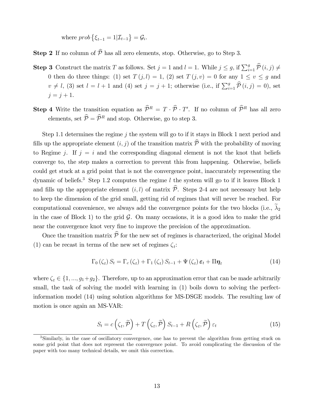where  $prob\left\{\xi_{t-1} = 1 | \mathcal{I}_{t-1}\right\} = \mathcal{G}_i$ .

**Step 2** If no column of  $\widehat{P}$  has all zero elements, stop. Otherwise, go to Step 3.

- **Step 3** Construct the matrix T as follows. Set  $j = 1$  and  $l = 1$ . While  $j \leq g$ , if  $\sum_{i=1}^{g} \hat{\mathcal{P}}(i, j) \neq$ 0 then do three things: (1) set  $T(j, l) = 1$ , (2) set  $T(j, v) = 0$  for any  $1 \le v \le g$  and  $v \neq l$ , (3) set  $l = l + 1$  and (4) set  $j = j + 1$ ; otherwise (i.e., if  $\sum_{i=1}^{g} \hat{\mathcal{P}}(i, j) = 0$ ), set  $j = j + 1.$
- **Step 4** Write the transition equation as  $\hat{\mathcal{P}}^R = T \cdot \hat{\mathcal{P}} \cdot T'$ . If no column of  $\hat{\mathcal{P}}^R$  has all zero elements, set  $\widehat{\mathcal{P}} = \widehat{\mathcal{P}}^R$  and stop. Otherwise, go to step 3.

Step 1.1 determines the regime j the system will go to if it stays in Block 1 next period and fills up the appropriate element  $(i, j)$  of the transition matrix  $\hat{\mathcal{P}}$  with the probability of moving to Regime j. If  $j = i$  and the corresponding diagonal element is not the knot that beliefs converge to, the step makes a correction to prevent this from happening. Otherwise, beliefs could get stuck at a grid point that is not the convergence point, inaccurately representing the dynamic of beliefs.<sup>3</sup> Step 1.2 computes the regime  $l$  the system will go to if it leaves Block 1 and fills up the appropriate element  $(i, l)$  of matrix  $\hat{\mathcal{P}}$ . Steps 2-4 are not necessary but help to keep the dimension of the grid small, getting rid of regimes that will never be reached. For computational convenience, we always add the convergence points for the two blocks (i.e.,  $\widetilde{\lambda}_2$ in the case of Block 1) to the grid  $\mathcal{G}$ . On many occasions, it is a good idea to make the grid near the convergence knot very fine to improve the precision of the approximation.

Once the transition matrix  $\hat{\mathcal{P}}$  for the new set of regimes is characterized, the original Model (1) can be recast in terms of the new set of regimes  $\zeta_i$ :

$$
\Gamma_{0}\left(\zeta_{t}\right)S_{t} = \Gamma_{c}\left(\zeta_{t}\right) + \Gamma_{1}\left(\zeta_{t}\right)S_{t-1} + \Psi\left(\zeta_{t}\right)\varepsilon_{t} + \Pi\eta_{t}
$$
\n(14)

where  $\zeta_t \in \{1, ..., g_1+g_2\}$ . Therefore, up to an approximation error that can be made arbitrarily small, the task of solving the model with learning in  $(1)$  boils down to solving the perfectinformation model (14) using solution algorithms for MS-DSGE models. The resulting law of motion is once again an MS-VAR:

$$
S_t = c\left(\zeta_t, \widetilde{\mathcal{P}}\right) + T\left(\zeta_t, \widetilde{\mathcal{P}}\right) S_{t-1} + R\left(\zeta_t, \widetilde{\mathcal{P}}\right) \varepsilon_t \tag{15}
$$

<sup>&</sup>lt;sup>3</sup>Similarly, in the case of oscillatory convergence, one has to prevent the algorithm from getting stuck on some grid point that does not represent the convergence point. To avoid complicating the discussion of the paper with too many technical details, we omit this correction.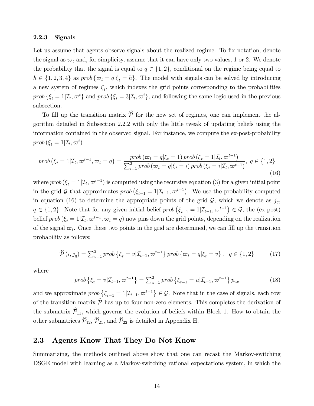#### 2.2.3 Signals

Let us assume that agents observe signals about the realized regime. To fix notation, denote the signal as  $\varpi_t$  and, for simplicity, assume that it can have only two values, 1 or 2. We denote the probability that the signal is equal to  $q \in \{1, 2\}$ , conditional on the regime being equal to  $h \in \{1, 2, 3, 4\}$  as  $prob \{\varpi_t = q | \xi_t = h\}$ . The model with signals can be solved by introducing a new system of regimes  $\zeta_t$ , which indexes the grid points corresponding to the probabilities  $prob\{\xi_t=1|\mathcal{I}_t,\varpi^t\}$  and  $prob\{\xi_t=3|\mathcal{I}_t,\varpi^t\}$ , and following the same logic used in the previous subsection.

To fill up the transition matrix  $\hat{\mathcal{P}}$  for the new set of regimes, one can implement the algorithm detailed in Subsection 2.2.2 with only the little tweak of updating beliefs using the information contained in the observed signal. For instance, we compute the ex-post-probability  $prob(\xi_t=1|\mathcal{I}_t,\varpi^t)$ 

$$
prob\left(\xi_{t}=1|\mathcal{I}_{t},\varpi^{t-1},\varpi_{t}=q\right)=\frac{prob\left(\varpi_{t}=q|\xi_{t}=1\right)prob\left(\xi_{t}=1|\mathcal{I}_{t},\varpi^{t-1}\right)}{\sum_{i=1}^{2}prob\left(\varpi_{t}=q|\xi_{t}=i\right)prob\left(\xi_{t}=i|\mathcal{I}_{t},\varpi^{t-1}\right)},\ q\in\{1,2\}\tag{16}
$$

where  $prob(\xi_t = 1 | \mathcal{I}_t, \varpi^{t-1})$  is computed using the recursive equation (3) for a given initial point in the grid G that approximates  $prob(\xi_{t-1} = 1 | \mathcal{I}_{t-1}, \varpi^{t-1})$ . We use the probability computed in equation (16) to determine the appropriate points of the grid  $\mathcal{G}$ , which we denote as  $j_q$ ,  $q \in \{1, 2\}$ . Note that for any given initial belief  $prob(\xi_{t-1} = 1 | \mathcal{I}_{t-1}, \varpi^{t-1}) \in \mathcal{G}$ , the (ex-post) belief  $prob(\xi_t = 1 | \mathcal{I}_t, \varpi^{t-1}, \varpi_t = q)$  now pins down the grid points, depending on the realization of the signal  $\varpi_t$ . Once these two points in the grid are determined, we can fill up the transition probability as follows:

$$
\widehat{\mathcal{P}}(i,j_q) = \sum_{v=1}^{2} \text{prob}\left\{\xi_t = v | \mathcal{I}_{t-1}, \varpi^{t-1}\right\} \text{prob}\left\{\varpi_t = q | \xi_t = v\right\}, \ q \in \{1,2\} \tag{17}
$$

where

$$
prob\left\{\xi_t = v|\mathcal{I}_{t-1}, \varpi^{t-1}\right\} = \sum_{u=1}^2 prob\left\{\xi_{t-1} = u|\mathcal{I}_{t-1}, \varpi^{t-1}\right\} p_{uv}
$$
(18)

and we approximate  $prob\left\{\xi_{t-1} = 1 | \mathcal{I}_{t-1}, \varpi^{t-1}\right\} \in \mathcal{G}$ . Note that in the case of signals, each row of the transition matrix  $\hat{\mathcal{P}}$  has up to four non-zero elements. This completes the derivation of the submatrix  $\widehat{\mathcal{P}}_{11}$ , which governs the evolution of beliefs within Block 1. How to obtain the other submatrices  $\widehat{\mathcal{P}}_{12}$ ,  $\widehat{\mathcal{P}}_{21}$ , and  $\widehat{\mathcal{P}}_{22}$  is detailed in Appendix H.

### 2.3 Agents Know That They Do Not Know

Summarizing, the methods outlined above show that one can recast the Markov-switching DSGE model with learning as a Markov-switching rational expectations system, in which the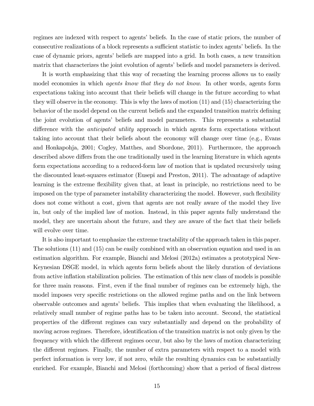regimes are indexed with respect to agents' beliefs. In the case of static priors, the number of consecutive realizations of a block represents a sufficient statistic to index agents' beliefs. In the case of dynamic priors, agents' beliefs are mapped into a grid. In both cases, a new transition matrix that characterizes the joint evolution of agents' beliefs and model parameters is derived.

It is worth emphasizing that this way of recasting the learning process allows us to easily model economies in which *agents know that they do not know*. In other words, agents form expectations taking into account that their beliefs will change in the future according to what they will observe in the economy. This is why the laws of motion (11) and (15) characterizing the behavior of the model depend on the current beliefs and the expanded transition matrix defining the joint evolution of agentsí beliefs and model parameters. This represents a substantial difference with the *anticipated utility* approach in which agents form expectations without taking into account that their beliefs about the economy will change over time (e.g., Evans and Honkapohja, 2001; Cogley, Matthes, and Sbordone, 2011). Furthermore, the approach described above differs from the one traditionally used in the learning literature in which agents form expectations according to a reduced-form law of motion that is updated recursively using the discounted least-squares estimator (Eusepi and Preston, 2011). The advantage of adaptive learning is the extreme áexibility given that, at least in principle, no restrictions need to be imposed on the type of parameter instability characterizing the model. However, such flexibility does not come without a cost, given that agents are not really aware of the model they live in, but only of the implied law of motion. Instead, in this paper agents fully understand the model, they are uncertain about the future, and they are aware of the fact that their beliefs will evolve over time.

It is also important to emphasize the extreme tractability of the approach taken in this paper. The solutions (11) and (15) can be easily combined with an observation equation and used in an estimation algorithm. For example, Bianchi and Melosi (2012a) estimates a prototypical New-Keynesian DSGE model, in which agents form beliefs about the likely duration of deviations from active inflation stabilization policies. The estimation of this new class of models is possible for three main reasons. First, even if the Önal number of regimes can be extremely high, the model imposes very specific restrictions on the allowed regime paths and on the link between observable outcomes and agents' beliefs. This implies that when evaluating the likelihood, a relatively small number of regime paths has to be taken into account. Second, the statistical properties of the different regimes can vary substantially and depend on the probability of moving across regimes. Therefore, identification of the transition matrix is not only given by the frequency with which the different regimes occur, but also by the laws of motion characterizing the different regimes. Finally, the number of extra parameters with respect to a model with perfect information is very low, if not zero, while the resulting dynamics can be substantially enriched. For example, Bianchi and Melosi (forthcoming) show that a period of fiscal distress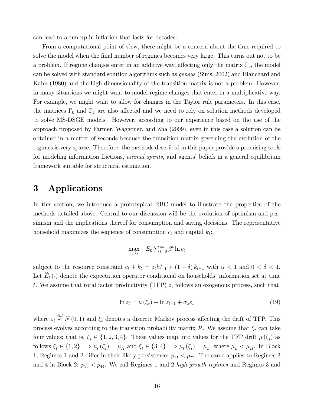can lead to a run-up in inflation that lasts for decades.

From a computational point of view, there might be a concern about the time required to solve the model when the final number of regimes becomes very large. This turns out not to be a problem. If regime changes enter in an additive way, affecting only the matrix  $\Gamma_c$ , the model can be solved with standard solution algorithms such as gensys (Sims, 2002) and Blanchard and Kahn (1980) and the high dimensionality of the transition matrix is not a problem. However, in many situations we might want to model regime changes that enter in a multiplicative way. For example, we might want to allow for changes in the Taylor rule parameters. In this case, the matrices  $\Gamma_0$  and  $\Gamma_1$  are also affected and we need to rely on solution methods developed to solve MS-DSGE models. However, according to our experience based on the use of the approach proposed by Farmer, Waggoner, and Zha (2009), even in this case a solution can be obtained in a matter of seconds because the transition matrix governing the evolution of the regimes is very sparse. Therefore, the methods described in this paper provide a promising tools for modeling information frictions, *animal spirits*, and agents' beliefs in a general equilibrium framework suitable for structural estimation.

### 3 Applications

In this section, we introduce a prototypical RBC model to illustrate the properties of the methods detailed above. Central to our discussion will be the evolution of optimism and pessimism and the implications thereof for consumption and saving decisions. The representative household maximizes the sequence of consumption  $c_t$  and capital  $k_t$ :

$$
\max_{c_t, k_t} \quad \widetilde{E}_0 \sum_{t=0}^{\infty} \beta^t \ln c_t
$$

subject to the resource constraint  $c_t + k_t = z_t k_{t-1}^{\alpha} + (1 - \delta) k_{t-1}$  with  $\alpha < 1$  and  $0 < \delta < 1$ . Let  $\widetilde{E}_t(\cdot)$  denote the expectation operator conditional on households' information set at time t. We assume that total factor productivity (TFP)  $z_t$  follows an exogenous process, such that

$$
\ln z_t = \mu(\xi_t) + \ln z_{t-1} + \sigma_z \varepsilon_t \tag{19}
$$

where  $\varepsilon_t \stackrel{iid}{\sim} N(0,1)$  and  $\xi_t$  denotes a discrete Markov process affecting the drift of TFP. This process evolves according to the transition probability matrix  $P$ . We assume that  $\xi_t$  can take four values; that is,  $\xi_t \in \{1, 2, 3, 4\}$ . These values map into values for the TFP drift  $\mu(\xi_t)$  as follows  $\xi_t \in \{1,2\} \Longrightarrow \mu_t(\xi_t) = \mu_H$  and  $\xi_t \in \{3,4\} \Longrightarrow \mu_t(\xi_t) = \mu_L$ , where  $\mu_L < \mu_H$ . In Block 1, Regimes 1 and 2 differ in their likely persistence:  $p_{11} < p_{22}$ . The same applies to Regimes 3 and 4 in Block 2:  $p_{33} < p_{44}$ . We call Regimes 1 and 2 high-growth regimes and Regimes 3 and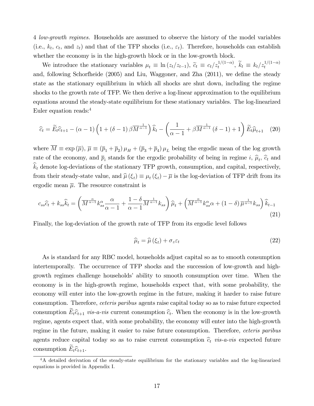4 *low-growth regimes*. Households are assumed to observe the history of the model variables (i.e.,  $k_t$ ,  $c_t$ , and  $z_t$ ) and that of the TFP shocks (i.e.,  $\varepsilon_t$ ). Therefore, households can establish whether the economy is in the high-growth block or in the low-growth block.

We introduce the stationary variables  $\mu_t \equiv \ln(z_t/z_{t-1}), \tilde{c}_t \equiv c_t/z_t^{1/(1-\alpha)}, \tilde{k}_t \equiv k_t/z_t^{1/(1-\alpha)}$ and, following Schorfheide  $(2005)$  and Liu, Waggoner, and Zha  $(2011)$ , we define the steady state as the stationary equilibrium in which all shocks are shut down, including the regime shocks to the growth rate of TFP. We then derive a log-linear approximation to the equilibrium equations around the steady-state equilibrium for these stationary variables. The log-linearized Euler equation reads:<sup>4</sup>

$$
\widehat{c}_t = \widetilde{E}_t \widehat{c}_{t+1} - (\alpha - 1) \left( 1 + (\delta - 1) \beta \overline{M}^{\frac{1}{\alpha - 1}} \right) \widehat{k}_t - \left( \frac{1}{\alpha - 1} + \beta \overline{M}^{\frac{1}{\alpha - 1}} (\delta - 1) + 1 \right) \widetilde{E}_t \widehat{\mu}_{t+1} \tag{20}
$$

where  $M \equiv \exp(\overline{\mu})$ ,  $\overline{\mu} \equiv (\overline{p}_1 + \overline{p}_2)\mu_H + (\overline{p}_3 + \overline{p}_4)\mu_L$  being the ergodic mean of the log growth rate of the economy, and  $\bar{p}_i$  stands for the ergodic probability of being in regime i,  $\hat{\mu}_t$ ,  $\hat{c}_t$  and  $\widehat{k}_t$  denote log-deviations of the stationary TFP growth, consumption, and capital, respectively, from their steady-state value, and  $\hat{\mu}(\xi_t) \equiv \mu_t(\xi_t) - \overline{\mu}$  is the log-deviation of TFP drift from its ergodic mean  $\overline{\mu}$ . The resource constraint is

$$
c_{ss}\hat{c}_t + k_{ss}\hat{k}_t = \left(\overline{M}^{\frac{\alpha}{\alpha-1}}k_{ss}^{\alpha}\frac{\alpha}{\alpha-1} + \frac{1-\delta}{\alpha-1}\overline{M}^{\frac{1}{\alpha-1}}k_{ss}\right)\hat{\mu}_t + \left(\overline{M}^{\frac{\alpha}{\alpha-1}}k_{ss}^{\alpha}\alpha + (1-\delta)\overline{\mu}^{\frac{1}{\alpha-1}}k_{ss}\right)\hat{k}_{t-1}
$$
\n(21)

Finally, the log-deviation of the growth rate of TFP from its ergodic level follows

$$
\widehat{\mu}_t = \widehat{\mu}(\xi_t) + \sigma_z \varepsilon_t \tag{22}
$$

As is standard for any RBC model, households adjust capital so as to smooth consumption intertemporally. The occurrence of TFP shocks and the succession of low-growth and highgrowth regimes challenge households' ability to smooth consumption over time. When the economy is in the high-growth regime, households expect that, with some probability, the economy will enter into the low-growth regime in the future, making it harder to raise future consumption. Therefore, *ceteris paribus* agents raise capital today so as to raise future expected consumption  $E_t\hat{c}_{t+1}$  vis-a-vis current consumption  $\hat{c}_t$ . When the economy is in the low-growth regime, agents expect that, with some probability, the economy will enter into the high-growth regime in the future, making it easier to raise future consumption. Therefore, ceteris paribus agents reduce capital today so as to raise current consumption  $\hat{c}_t$  vis-a-vis expected future consumption  $\widetilde{E}_t \widehat{c}_{t+1}$ .

<sup>&</sup>lt;sup>4</sup>A detailed derivation of the steady-state equilibrium for the stationary variables and the log-linearized equations is provided in Appendix I.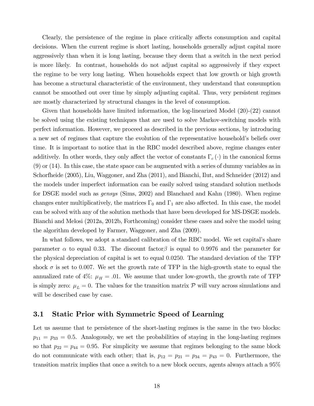Clearly, the persistence of the regime in place critically affects consumption and capital decisions. When the current regime is short lasting, households generally adjust capital more aggressively than when it is long lasting, because they deem that a switch in the next period is more likely. In contrast, households do not adjust capital so aggressively if they expect the regime to be very long lasting. When households expect that low growth or high growth has become a structural characteristic of the environment, they understand that consumption cannot be smoothed out over time by simply adjusting capital. Thus, very persistent regimes are mostly characterized by structural changes in the level of consumption.

Given that households have limited information, the log-linearized Model (20)-(22) cannot be solved using the existing techniques that are used to solve Markov-switching models with perfect information. However, we proceed as described in the previous sections, by introducing a new set of regimes that capture the evolution of the representative household's beliefs over time. It is important to notice that in the RBC model described above, regime changes enter additively. In other words, they only affect the vector of constants  $\Gamma_c(\cdot)$  in the canonical forms (9) or (14). In this case, the state space can be augmented with a series of dummy variables as in Schorfheide (2005), Liu, Waggoner, and Zha (2011), and Bianchi, Ilut, and Schneider (2012) and the models under imperfect information can be easily solved using standard solution methods for DSGE model such as gensys (Sims, 2002) and Blanchard and Kahn (1980). When regime changes enter multiplicatively, the matrices  $\Gamma_0$  and  $\Gamma_1$  are also affected. In this case, the model can be solved with any of the solution methods that have been developed for MS-DSGE models. Bianchi and Melosi (2012a, 2012b, Forthcoming) consider these cases and solve the model using the algorithm developed by Farmer, Waggoner, and Zha (2009).

In what follows, we adopt a standard calibration of the RBC model. We set capital's share parameter  $\alpha$  to equal 0.33. The discount factor  $\beta$  is equal to 0.9976 and the parameter for the physical depreciation of capital is set to equal 0:0250. The standard deviation of the TFP shock  $\sigma$  is set to 0.007. We set the growth rate of TFP in the high-growth state to equal the annualized rate of 4%:  $\mu_H = .01$ . We assume that under low-growth, the growth rate of TFP is simply zero:  $\mu_L = 0$ . The values for the transition matrix  $\mathcal{P}$  will vary across simulations and will be described case by case.

### 3.1 Static Prior with Symmetric Speed of Learning

Let us assume that te persistence of the short-lasting regimes is the same in the two blocks:  $p_{11} = p_{33} = 0.5$ . Analogously, we set the probabilities of staying in the long-lasting regimes so that  $p_{22} = p_{44} = 0.95$ . For simplicity we assume that regimes belonging to the same block do not communicate with each other; that is,  $p_{12} = p_{21} = p_{34} = p_{43} = 0$ . Furthermore, the transition matrix implies that once a switch to a new block occurs, agents always attach a 95%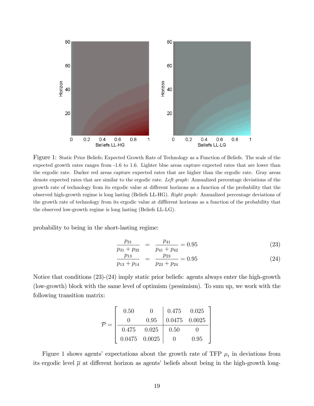

Figure 1: Static Prior Beliefs; Expected Growth Rate of Technology as a Function of Beliefs. The scale of the expected growth rates ranges from -1.6 to 1.6. Lighter blue areas capture expected rates that are lower than the ergodic rate. Darker red areas capture expected rates that are higher than the ergodic rate. Gray areas denote expected rates that are similar to the ergodic rate. Left graph: Annualized percentage deviations of the growth rate of technology from its ergodic value at different horizons as a function of the probability that the observed high-growth regime is long lasting (Beliefs LL-HG). Right graph: Annualized percentage deviations of the growth rate of technology from its ergodic value at different horizons as a function of the probability that the observed low-growth regime is long lasting (Beliefs LL-LG).

probability to being in the short-lasting regime:

$$
\frac{p_{31}}{p_{31} + p_{32}} = \frac{p_{41}}{p_{41} + p_{42}} = 0.95
$$
 (23)

$$
\frac{p_{13}}{p_{13} + p_{14}} = \frac{p_{23}}{p_{23} + p_{24}} = 0.95
$$
 (24)

Notice that conditions (23)-(24) imply static prior beliefs: agents always enter the high-growth (low-growth) block with the same level of optimism (pessimism). To sum up, we work with the following transition matrix:

$$
\mathcal{P} = \begin{bmatrix} 0.50 & 0 & 0.475 & 0.025 \\ 0 & 0.95 & 0.0475 & 0.0025 \\ \hline 0.475 & 0.025 & 0.50 & 0 \\ 0.0475 & 0.0025 & 0 & 0.95 \end{bmatrix}
$$

Figure 1 shows agents' expectations about the growth rate of TFP  $\mu_t$  in deviations from its ergodic level  $\overline{\mu}$  at different horizon as agents' beliefs about being in the high-growth long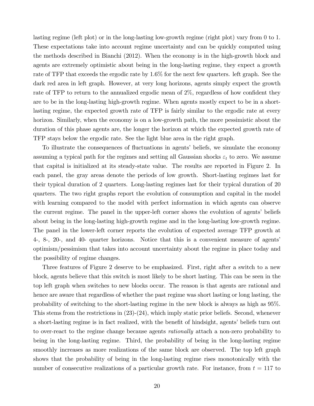lasting regime (left plot) or in the long-lasting low-growth regime (right plot) vary from 0 to 1. These expectations take into account regime uncertainty and can be quickly computed using the methods described in Bianchi (2012). When the economy is in the high-growth block and agents are extremely optimistic about being in the long-lasting regime, they expect a growth rate of TFP that exceeds the ergodic rate by 1.6% for the next few quarters. left graph. See the dark red area in left graph. However, at very long horizons, agents simply expect the growth rate of TFP to return to the annualized ergodic mean of  $2\%$ , regardless of how confident they are to be in the long-lasting high-growth regime. When agents mostly expect to be in a shortlasting regime, the expected growth rate of TFP is fairly similar to the ergodic rate at every horizon. Similarly, when the economy is on a low-growth path, the more pessimistic about the duration of this phase agents are, the longer the horizon at which the expected growth rate of TFP stays below the ergodic rate. See the light blue area in the right graph.

To illustrate the consequences of fluctuations in agents' beliefs, we simulate the economy assuming a typical path for the regimes and setting all Gaussian shocks  $\varepsilon_t$  to zero. We assume that capital is initialized at its steady-state value. The results are reported in Figure 2. In each panel, the gray areas denote the periods of low growth. Short-lasting regimes last for their typical duration of 2 quarters. Long-lasting regimes last for their typical duration of 20 quarters. The two right graphs report the evolution of consumption and capital in the model with learning compared to the model with perfect information in which agents can observe the current regime. The panel in the upper-left corner shows the evolution of agents' beliefs about being in the long-lasting high-growth regime and in the long-lasting low-growth regime. The panel in the lower-left corner reports the evolution of expected average TFP growth at 4-, 8-, 20-, and 40- quarter horizons. Notice that this is a convenient measure of agentsí optimism/pessimism that takes into account uncertainty about the regime in place today and the possibility of regime changes.

Three features of Figure 2 deserve to be emphasized. First, right after a switch to a new block, agents believe that this switch is most likely to be short lasting. This can be seen in the top left graph when switches to new blocks occur. The reason is that agents are rational and hence are aware that regardless of whether the past regime was short lasting or long lasting, the probability of switching to the short-lasting regime in the new block is always as high as 95%. This stems from the restrictions in  $(23)-(24)$ , which imply static prior beliefs. Second, whenever a short-lasting regime is in fact realized, with the benefit of hindsight, agents' beliefs turn out to over-react to the regime change because agents *rationally* attach a non-zero probability to being in the long-lasting regime. Third, the probability of being in the long-lasting regime smoothly increases as more realizations of the same block are observed. The top left graph shows that the probability of being in the long-lasting regime rises monotonically with the number of consecutive realizations of a particular growth rate. For instance, from  $t = 117$  to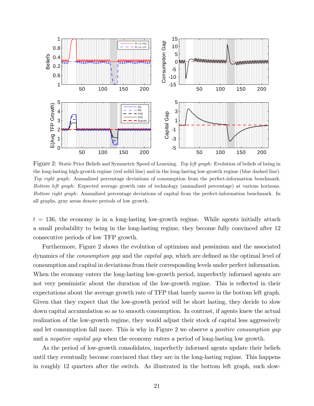

Figure 2: Static Prior Beliefs and Symmetric Speed of Learning. Top left graph: Evolution of beliefs of being in the long-lasting high-growth regime (red solid line) and in the long-lasting low-growth regime (blue dashed line). Top right graph: Annualized percentage deviations of consumption from the perfect-information benchmark. Bottom left graph: Expected average growth rate of technology (annualized percentage) at various horizons. Bottom right graph: Annualized percentage deviations of capital from the perfect-information benchmark. In all graphs, gray areas denote periods of low growth.

 $t = 136$ , the economy is in a long-lasting low-growth regime. While agents initially attach a small probability to being in the long-lasting regime, they become fully convinced after 12 consecutive periods of low TFP growth.

Furthermore, Figure 2 shows the evolution of optimism and pessimism and the associated dynamics of the *consumption gap* and the *capital gap*, which are defined as the optimal level of consumption and capital in deviations from their corresponding levels under perfect information. When the economy enters the long-lasting low-growth period, imperfectly informed agents are not very pessimistic about the duration of the low-growth regime. This is reflected in their expectations about the average growth rate of TFP that barely moves in the bottom left graph. Given that they expect that the low-growth period will be short lasting, they decide to slow down capital accumulation so as to smooth consumption. In contrast, if agents knew the actual realization of the low-growth regime, they would adjust their stock of capital less aggressively and let consumption fall more. This is why in Figure 2 we observe a *positive consumption gap* and a *negative capital gap* when the economy enters a period of long-lasting low growth.

As the period of low-growth consolidates, imperfectly informed agents update their beliefs until they eventually become convinced that they are in the long-lasting regime. This happens in roughly 12 quarters after the switch. As illustrated in the bottom left graph, such slow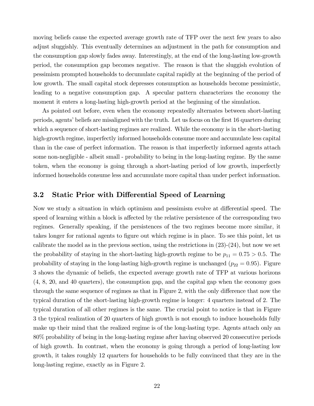moving beliefs cause the expected average growth rate of TFP over the next few years to also adjust sluggishly. This eventually determines an adjustment in the path for consumption and the consumption gap slowly fades away. Interestingly, at the end of the long-lasting low-growth period, the consumption gap becomes negative. The reason is that the sluggish evolution of pessimism prompted households to decumulate capital rapidly at the beginning of the period of low growth. The small capital stock depresses consumption as households become pessimistic, leading to a negative consumption gap. A specular pattern characterizes the economy the moment it enters a long-lasting high-growth period at the beginning of the simulation.

As pointed out before, even when the economy repeatedly alternates between short-lasting periods, agents' beliefs are misaligned with the truth. Let us focus on the first 16 quarters during which a sequence of short-lasting regimes are realized. While the economy is in the short-lasting high-growth regime, imperfectly informed households consume more and accumulate less capital than in the case of perfect information. The reason is that imperfectly informed agents attach some non-negligible - albeit small - probability to being in the long-lasting regime. By the same token, when the economy is going through a short-lasting period of low growth, imperfectly informed households consume less and accumulate more capital than under perfect information.

### 3.2 Static Prior with Differential Speed of Learning

Now we study a situation in which optimism and pessimism evolve at differential speed. The speed of learning within a block is affected by the relative persistence of the corresponding two regimes. Generally speaking, if the persistences of the two regimes become more similar, it takes longer for rational agents to figure out which regime is in place. To see this point, let us calibrate the model as in the previous section, using the restrictions in  $(23)-(24)$ , but now we set the probability of staying in the short-lasting high-growth regime to be  $p_{11} = 0.75 > 0.5$ . The probability of staying in the long-lasting high-growth regime is unchanged  $(p_{22} = 0.95)$ . Figure 3 shows the dynamic of beliefs, the expected average growth rate of TFP at various horizons (4, 8, 20, and 40 quarters), the consumption gap, and the capital gap when the economy goes through the same sequence of regimes as that in Figure 2, with the only difference that now the typical duration of the short-lasting high-growth regime is longer: 4 quarters instead of 2. The typical duration of all other regimes is the same. The crucial point to notice is that in Figure 3 the typical realization of 20 quarters of high growth is not enough to induce households fully make up their mind that the realized regime is of the long-lasting type. Agents attach only an 80% probability of being in the long-lasting regime after having observed 20 consecutive periods of high growth. In contrast, when the economy is going through a period of long-lasting low growth, it takes roughly 12 quarters for households to be fully convinced that they are in the long-lasting regime, exactly as in Figure 2.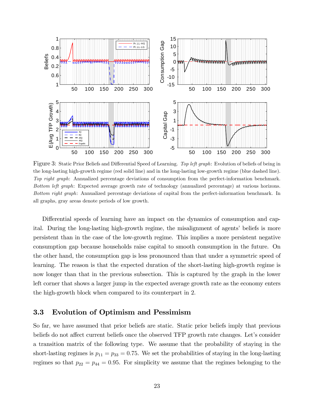

Figure 3: Static Prior Beliefs and Differential Speed of Learning. Top left graph: Evolution of beliefs of being in the long-lasting high-growth regime (red solid line) and in the long-lasting low-growth regime (blue dashed line). Top right graph: Annualized percentage deviations of consumption from the perfect-information benchmark. Bottom left graph: Expected average growth rate of technology (annualized percentage) at various horizons. Bottom right graph: Annualized percentage deviations of capital from the perfect-information benchmark. In all graphs, gray areas denote periods of low growth.

Differential speeds of learning have an impact on the dynamics of consumption and capital. During the long-lasting high-growth regime, the misalignment of agents' beliefs is more persistent than in the case of the low-growth regime. This implies a more persistent negative consumption gap because households raise capital to smooth consumption in the future. On the other hand, the consumption gap is less pronounced than that under a symmetric speed of learning. The reason is that the expected duration of the short-lasting high-growth regime is now longer than that in the previous subsection. This is captured by the graph in the lower left corner that shows a larger jump in the expected average growth rate as the economy enters the high-growth block when compared to its counterpart in 2.

### 3.3 Evolution of Optimism and Pessimism

So far, we have assumed that prior beliefs are static. Static prior beliefs imply that previous beliefs do not affect current beliefs once the observed TFP growth rate changes. Let's consider a transition matrix of the following type. We assume that the probability of staying in the short-lasting regimes is  $p_{11} = p_{33} = 0.75$ . We set the probabilities of staying in the long-lasting regimes so that  $p_{22} = p_{44} = 0.95$ . For simplicity we assume that the regimes belonging to the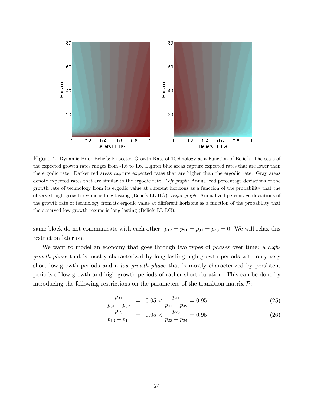

Figure 4: Dynamic Prior Beliefs; Expected Growth Rate of Technology as a Function of Beliefs. The scale of the expected growth rates ranges from -1.6 to 1.6. Lighter blue areas capture expected rates that are lower than the ergodic rate. Darker red areas capture expected rates that are higher than the ergodic rate. Gray areas denote expected rates that are similar to the ergodic rate. Left graph: Annualized percentage deviations of the growth rate of technology from its ergodic value at different horizons as a function of the probability that the observed high-growth regime is long lasting (Beliefs LL-HG). Right graph: Annualized percentage deviations of the growth rate of technology from its ergodic value at different horizons as a function of the probability that the observed low-growth regime is long lasting (Beliefs LL-LG).

same block do not communicate with each other:  $p_{12} = p_{21} = p_{34} = p_{43} = 0$ . We will relax this restriction later on.

We want to model an economy that goes through two types of *phases* over time: a *high*growth phase that is mostly characterized by long-lasting high-growth periods with only very short low-growth periods and a *low-growth phase* that is mostly characterized by persistent periods of low-growth and high-growth periods of rather short duration. This can be done by introducing the following restrictions on the parameters of the transition matrix  $\mathcal{P}$ :

$$
\frac{p_{31}}{p_{31} + p_{32}} = 0.05 < \frac{p_{41}}{p_{41} + p_{42}} = 0.95
$$
\n(25)

$$
\frac{p_{13}}{p_{13} + p_{14}} = 0.05 < \frac{p_{23}}{p_{23} + p_{24}} = 0.95
$$
\n(26)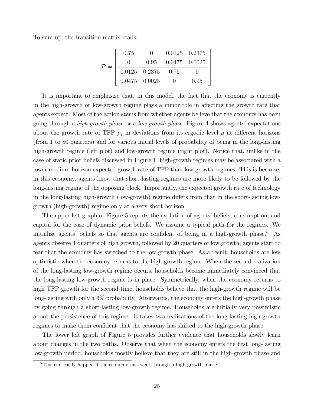To sum up, the transition matrix reads:

|  | 0.75 |                      |                 | $0.0125$ 0.2375 |
|--|------|----------------------|-----------------|-----------------|
|  |      | 0.95                 | $0.0475$ 0.0025 |                 |
|  |      | $0.0125\quad 0.2375$ | 0.75            |                 |
|  |      | $0.0475$ 0.0025      |                 | 0.95            |

It is important to emphasize that, in this model, the fact that the economy is currently in the high-growth or low-growth regime plays a minor role in affecting the growth rate that agents expect. Most of the action stems from whether agents believe that the economy has been going through a *high-growth phase* or a *low-growth phase*. Figure 4 shows agents' expectations about the growth rate of TFP  $\mu_t$  in deviations from its ergodic level  $\overline{\mu}$  at different horizons (from 1 to 80 quarters) and for various initial levels of probability of being in the long-lasting high-growth regime (left plot) and low-growth regime (right plot). Notice that, unlike in the case of static prior beliefs discussed in Figure 1, high-growth regimes may be associated with a lower medium-horizon expected growth rate of TFP than low-growth regimes. This is because, in this economy, agents know that short-lasting regimes are more likely to be followed by the long-lasting regime of the opposing block. Importantly, the expected growth rate of technology in the long-lasting high-growth (low-growth) regime differs from that in the short-lasting lowgrowth (high-growth) regime only at a very short horizon.

The upper left graph of Figure 5 reports the evolution of agents' beliefs, consumption, and capital for the case of dynamic prior beliefs. We assume a typical path for the regimes. We initialize agents' beliefs so that agents are confident of being in a high-growth phase.<sup>5</sup> As agents observe 4 quarters of high growth, followed by 20 quarters of low growth, agents start to fear that the economy has switched to the low-growth phase. As a result, households are less optimistic when the economy returns to the high-growth regime. When the second realization of the long-lasting low-growth regime occurs, households become immediately convinced that the long-lasting low-growth regime is in place. Symmetrically, when the economy returns to high TFP growth for the second time, households believe that the high-growth regime will be long-lasting with only a 6% probability. Afterwards, the economy enters the high-growth phase by going through a short-lasting low-growth regime. Households are initially very pessimistic about the persistence of this regime. It takes two realizations of the long-lasting high-growth regimes to make them confident that the economy has shifted to the high-growth phase.

The lower left graph of Figure 5 provides further evidence that households slowly learn about changes in the two paths. Observe that when the economy enters the first long-lasting low-growth period, households mostly believe that they are still in the high-growth phase and

<sup>&</sup>lt;sup>5</sup>This can easily happen if the economy just went through a high-growth phase.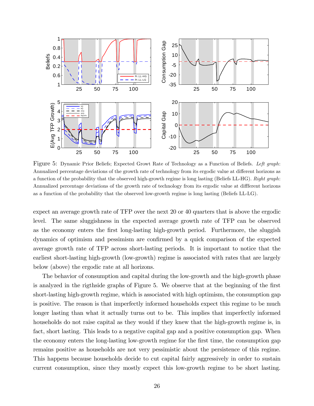

Figure 5: Dynamic Prior Beliefs; Expected Growt Rate of Technology as a Function of Beliefs. Left graph: Annualized percentage deviations of the growth rate of technology from its ergodic value at different horizons as a function of the probability that the observed high-growth regime is long lasting (Beliefs LL-HG). Right graph: Annualized percentage deviations of the growth rate of technology from its ergodic value at different horizons as a function of the probability that the observed low-growth regime is long lasting (Beliefs LL-LG).

expect an average growth rate of TFP over the next 20 or 40 quarters that is above the ergodic level. The same sluggishness in the expected average growth rate of TFP can be observed as the economy enters the first long-lasting high-growth period. Furthermore, the sluggish dynamics of optimism and pessimism are confirmed by a quick comparison of the expected average growth rate of TFP across short-lasting periods. It is important to notice that the earliest short-lasting high-growth (low-growth) regime is associated with rates that are largely below (above) the ergodic rate at all horizons.

The behavior of consumption and capital during the low-growth and the high-growth phase is analyzed in the rigthside graphs of Figure 5. We observe that at the beginning of the first short-lasting high-growth regime, which is associated with high optimism, the consumption gap is positive. The reason is that imperfectly informed households expect this regime to be much longer lasting than what it actually turns out to be. This implies that imperfectly informed households do not raise capital as they would if they knew that the high-growth regime is, in fact, short lasting. This leads to a negative capital gap and a positive consumption gap. When the economy enters the long-lasting low-growth regime for the first time, the consumption gap remains positive as households are not very pessimistic about the persistence of this regime. This happens because households decide to cut capital fairly aggressively in order to sustain current consumption, since they mostly expect this low-growth regime to be short lasting.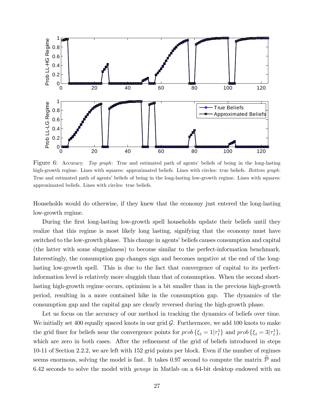

Figure 6: Accuracy. Top graph: True and estimated path of agents' beliefs of being in the long-lasting high-growth regime. Lines with squares: approximated beliefs. Lines with circles: true beliefs. Bottom graph: True and estimated path of agents' beliefs of being in the long-lasting low-growth regime. Lines with squares: approximated beliefs. Lines with circles: true beliefs.

Households would do otherwise, if they knew that the economy just entered the long-lasting low-growth regime.

During the first long-lasting low-growth spell households update their beliefs until they realize that this regime is most likely long lasting, signifying that the economy must have switched to the low-growth phase. This change in agents' beliefs causes consumption and capital (the latter with some sluggishness) to become similar to the perfect-information benchmark. Interestingly, the consumption gap changes sign and becomes negative at the end of the longlasting low-growth spell. This is due to the fact that convergence of capital to its perfectinformation level is relatively more sluggish than that of consumption. When the second shortlasting high-growth regime occurs, optimism is a bit smaller than in the previous high-growth period, resulting in a more contained hike in the consumption gap. The dynamics of the consumption gap and the capital gap are clearly reversed during the high-growth phase.

Let us focus on the accuracy of our method in tracking the dynamics of beliefs over time. We initially set 400 equally spaced knots in our grid  $\mathcal{G}$ . Furthermore, we add 100 knots to make the grid finer for beliefs near the convergence points for  $prob \{\xi_t = 1 | \tau_t^1\}$  and  $prob \{\xi_t = 3 | \tau_t^1\},$ which are zero in both cases. After the refinement of the grid of beliefs introduced in steps 10-11 of Section 2.2.2, we are left with 152 grid points per block. Even if the number of regimes seems enormous, solving the model is fast. It takes 0.97 second to compute the matrix  $\hat{\mathcal{P}}$  and 6.42 seconds to solve the model with gensys in Matlab on a 64-bit desktop endowed with an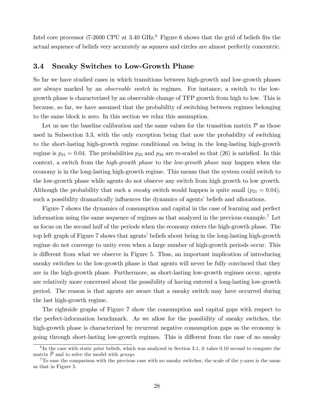Intel core processor i7-2600 CPU at 3.40 GHz.<sup>6</sup> Figure 6 shows that the grid of beliefs fits the actual sequence of beliefs very accurately as squares and circles are almost perfectly concentric.

#### 3.4 Sneaky Switches to Low-Growth Phase

So far we have studied cases in which transitions between high-growth and low-growth phases are always marked by an *observable switch* in regimes. For instance, a switch to the lowgrowth phase is characterized by an observable change of TFP growth from high to low. This is because, so far, we have assumed that the probability of switching between regimes belonging to the same block is zero. In this section we relax this assumption.

Let us use the baseline calibration and the same values for the transition matrix  $\mathcal P$  as those used in Subsection 3.3, with the only exception being that now the probability of switching to the short-lasting high-growth regime conditional on being in the long-lasting high-growth regime is  $p_{21} = 0.04$ . The probabilities  $p_{23}$  and  $p_{24}$  are re-scaled so that (26) is satisfied. In this context, a switch from the *high-growth phase* to the *low-growth phase* may happen when the economy is in the long-lasting high-growth regime. This means that the system could switch to the low-growth phase while agents do not observe any switch from high growth to low growth. Although the probability that such a *sneaky* switch would happen is quite small  $(p_{21} = 0.04)$ , such a possibility dramatically influences the dynamics of agents' beliefs and allocations.

Figure 7 shows the dynamics of consumption and capital in the case of learning and perfect information using the same sequence of regimes as that analyzed in the previous example.<sup>7</sup> Let us focus on the second half of the periods when the economy enters the high-growth phase. The top left graph of Figure 7 shows that agents' beliefs about being in the long-lasting high-growth regime do not converge to unity even when a large number of high-growth periods occur. This is different from what we observe in Figure 5. Thus, an important implication of introducing sneaky switches to the low-growth phase is that agents will never be fully convinced that they are in the high-growth phase. Furthermore, as short-lasting low-growth regimes occur, agents are relatively more concerned about the possibility of having entered a long-lasting low-growth period. The reason is that agents are aware that a sneaky switch may have occurred during the last high-growth regime.

The rightside graphs of Figure 7 show the consumption and capital gaps with respect to the perfect-information benchmark. As we allow for the possibility of sneaky switches, the high-growth phase is characterized by recurrent negative consumption gaps as the economy is going through short-lasting low-growth regimes. This is different from the case of no sneaky

 ${}^{6}$ In the case with static prior beliefs, which was analyzed in Section 3.1, it takes 0.10 second to compute the matrix  $\hat{\mathcal{P}}$  and to solve the model with gensys.

<sup>&</sup>lt;sup>7</sup>To ease the comparison with the previous case with no sneaky switches, the scale of the y-axes is the same as that in Figure 5.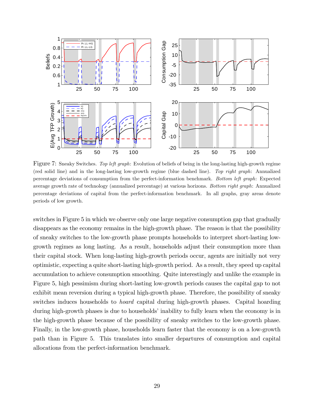

Figure 7: Sneaky Switches. Top left graph: Evolution of beliefs of being in the long-lasting high-growth regime (red solid line) and in the long-lasting low-growth regime (blue dashed line). Top right graph: Annualized percentage deviations of consumption from the perfect-information benchmark. Bottom left graph: Expected average growth rate of technology (annualized percentage) at various horizons. Bottom right graph: Annualized percentage deviations of capital from the perfect-information benchmark. In all graphs, gray areas denote periods of low growth.

switches in Figure 5 in which we observe only one large negative consumption gap that gradually disappears as the economy remains in the high-growth phase. The reason is that the possibility of sneaky switches to the low-growth phase prompts households to interpret short-lasting lowgrowth regimes as long lasting. As a result, households adjust their consumption more than their capital stock. When long-lasting high-growth periods occur, agents are initially not very optimistic, expecting a quite short-lasting high-growth period. As a result, they speed up capital accumulation to achieve consumption smoothing. Quite interestingly and unlike the example in Figure 5, high pessimism during short-lasting low-growth periods causes the capital gap to not exhibit mean reversion during a typical high-growth phase. Therefore, the possibility of sneaky switches induces households to hoard capital during high-growth phases. Capital hoarding during high-growth phases is due to households' inability to fully learn when the economy is in the high-growth phase because of the possibility of sneaky switches to the low-growth phase. Finally, in the low-growth phase, households learn faster that the economy is on a low-growth path than in Figure 5. This translates into smaller departures of consumption and capital allocations from the perfect-information benchmark.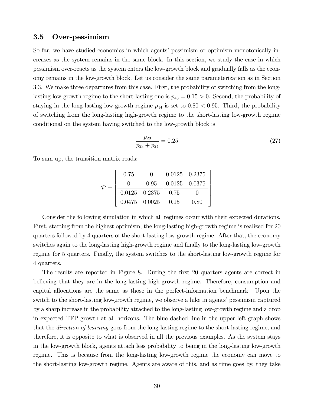#### 3.5 Over-pessimism

So far, we have studied economies in which agents' pessimism or optimism monotonically increases as the system remains in the same block. In this section, we study the case in which pessimism over-reacts as the system enters the low-growth block and gradually falls as the economy remains in the low-growth block. Let us consider the same parameterization as in Section 3.3. We make three departures from this case. First, the probability of switching from the longlasting low-growth regime to the short-lasting one is  $p_{43} = 0.15 > 0$ . Second, the probability of staying in the long-lasting low-growth regime  $p_{44}$  is set to  $0.80 < 0.95$ . Third, the probability of switching from the long-lasting high-growth regime to the short-lasting low-growth regime conditional on the system having switched to the low-growth block is

$$
\frac{p_{23}}{p_{23} + p_{24}} = 0.25\tag{27}
$$

To sum up, the transition matrix reads:

$$
\mathcal{P} = \left[ \begin{array}{ccc|ccc} 0.75 & 0 & 0.0125 & 0.2375 \\ 0 & 0.95 & 0.0125 & 0.0375 \\ \hline 0.0125 & 0.2375 & 0.75 & 0 \\ 0.0475 & 0.0025 & 0.15 & 0.80 \end{array} \right]
$$

Consider the following simulation in which all regimes occur with their expected durations. First, starting from the highest optimism, the long-lasting high-growth regime is realized for 20 quarters followed by 4 quarters of the short-lasting low-growth regime. After that, the economy switches again to the long-lasting high-growth regime and finally to the long-lasting low-growth regime for 5 quarters. Finally, the system switches to the short-lasting low-growth regime for 4 quarters.

The results are reported in Figure 8. During the first 20 quarters agents are correct in believing that they are in the long-lasting high-growth regime. Therefore, consumption and capital allocations are the same as those in the perfect-information benchmark. Upon the switch to the short-lasting low-growth regime, we observe a hike in agents' pessimism captured by a sharp increase in the probability attached to the long-lasting low-growth regime and a drop in expected TFP growth at all horizons. The blue dashed line in the upper left graph shows that the *direction of learning* goes from the long-lasting regime to the short-lasting regime, and therefore, it is opposite to what is observed in all the previous examples. As the system stays in the low-growth block, agents attach less probability to being in the long-lasting low-growth regime. This is because from the long-lasting low-growth regime the economy can move to the short-lasting low-growth regime. Agents are aware of this, and as time goes by, they take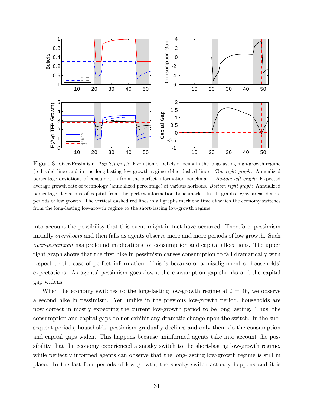

Figure 8: Over-Pessimism. Top left graph: Evolution of beliefs of being in the long-lasting high-growth regime (red solid line) and in the long-lasting low-growth regime (blue dashed line). Top right graph: Annualized percentage deviations of consumption from the perfect-information benchmark. Bottom left graph: Expected average growth rate of technology (annualized percentage) at various horizons. Bottom right graph: Annualized percentage deviations of capital from the perfect-information benchmark. In all graphs, gray areas denote periods of low growth. The vertical dashed red lines in all graphs mark the time at which the economy switches from the long-lasting low-growth regime to the short-lasting low-growth regime.

into account the possibility that this event might in fact have occurred. Therefore, pessimism initially *overshoots* and then falls as agents observe more and more periods of low growth. Such over-pessimism has profound implications for consumption and capital allocations. The upper right graph shows that the first hike in pessimism causes consumption to fall dramatically with respect to the case of perfect information. This is because of a misalignment of households expectations. As agents' pessimism goes down, the consumption gap shrinks and the capital gap widens.

When the economy switches to the long-lasting low-growth regime at  $t = 46$ , we observe a second hike in pessimism. Yet, unlike in the previous low-growth period, households are now correct in mostly expecting the current low-growth period to be long lasting. Thus, the consumption and capital gaps do not exhibit any dramatic change upon the switch. In the subsequent periods, households<sup>*'*</sup> pessimism gradually declines and only then do the consumption and capital gaps widen. This happens because uninformed agents take into account the possibility that the economy experienced a sneaky switch to the short-lasting low-growth regime, while perfectly informed agents can observe that the long-lasting low-growth regime is still in place. In the last four periods of low growth, the sneaky switch actually happens and it is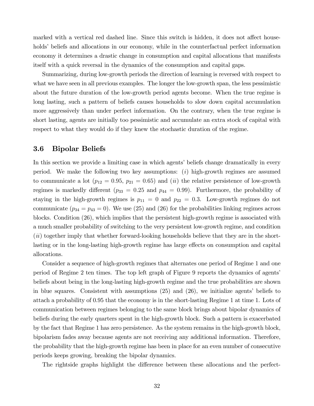marked with a vertical red dashed line. Since this switch is hidden, it does not affect households' beliefs and allocations in our economy, while in the counterfactual perfect information economy it determines a drastic change in consumption and capital allocations that manifests itself with a quick reversal in the dynamics of the consumption and capital gaps.

Summarizing, during low-growth periods the direction of learning is reversed with respect to what we have seen in all previous examples. The longer the low-growth span, the less pessimistic about the future duration of the low-growth period agents become. When the true regime is long lasting, such a pattern of beliefs causes households to slow down capital accumulation more aggressively than under perfect information. On the contrary, when the true regime is short lasting, agents are initially too pessimistic and accumulate an extra stock of capital with respect to what they would do if they knew the stochastic duration of the regime.

### 3.6 Bipolar Beliefs

In this section we provide a limiting case in which agents' beliefs change dramatically in every period. We make the following two key assumptions:  $(i)$  high-growth regimes are assumed to communicate a lot ( $p_{12} = 0.95$ ,  $p_{21} = 0.65$ ) and (*ii*) the relative persistence of low-growth regimes is markedly different ( $p_{33} = 0.25$  and  $p_{44} = 0.99$ ). Furthermore, the probability of staying in the high-growth regimes is  $p_{11} = 0$  and  $p_{22} = 0.3$ . Low-growth regimes do not communicate  $(p_{34} = p_{43} = 0)$ . We use (25) and (26) for the probabilities linking regimes across blocks. Condition (26), which implies that the persistent high-growth regime is associated with a much smaller probability of switching to the very persistent low-growth regime, and condition (ii) together imply that whether forward-looking households believe that they are in the shortlasting or in the long-lasting high-growth regime has large effects on consumption and capital allocations.

Consider a sequence of high-growth regimes that alternates one period of Regime 1 and one period of Regime 2 ten times. The top left graph of Figure 9 reports the dynamics of agentsí beliefs about being in the long-lasting high-growth regime and the true probabilities are shown in blue squares. Consistent with assumptions  $(25)$  and  $(26)$ , we initialize agents' beliefs to attach a probability of 0.95 that the economy is in the short-lasting Regime 1 at time 1. Lots of communication between regimes belonging to the same block brings about bipolar dynamics of beliefs during the early quarters spent in the high-growth block. Such a pattern is exacerbated by the fact that Regime 1 has zero persistence. As the system remains in the high-growth block, bipolarism fades away because agents are not receiving any additional information. Therefore, the probability that the high-growth regime has been in place for an even number of consecutive periods keeps growing, breaking the bipolar dynamics.

The rightside graphs highlight the difference between these allocations and the perfect-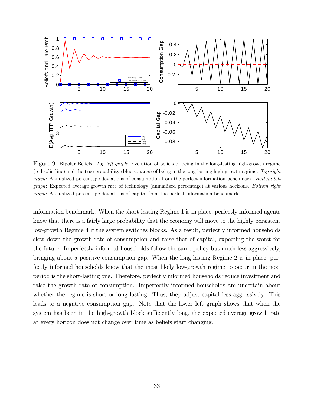

Figure 9: Bipolar Beliefs. Top left graph: Evolution of beliefs of being in the long-lasting high-growth regime (red solid line) and the true probability (blue squares) of being in the long-lasting high-growth regime. Top right graph: Annualized percentage deviations of consumption from the perfect-information benchmark. Bottom left graph: Expected average growth rate of technology (annualized percentage) at various horizons. Bottom right graph: Annualized percentage deviations of capital from the perfect-information benchmark.

information benchmark. When the short-lasting Regime 1 is in place, perfectly informed agents know that there is a fairly large probability that the economy will move to the highly persistent low-growth Regime 4 if the system switches blocks. As a result, perfectly informed households slow down the growth rate of consumption and raise that of capital, expecting the worst for the future. Imperfectly informed households follow the same policy but much less aggressively, bringing about a positive consumption gap. When the long-lasting Regime 2 is in place, perfectly informed households know that the most likely low-growth regime to occur in the next period is the short-lasting one. Therefore, perfectly informed households reduce investment and raise the growth rate of consumption. Imperfectly informed households are uncertain about whether the regime is short or long lasting. Thus, they adjust capital less aggressively. This leads to a negative consumption gap. Note that the lower left graph shows that when the system has been in the high-growth block sufficiently long, the expected average growth rate at every horizon does not change over time as beliefs start changing.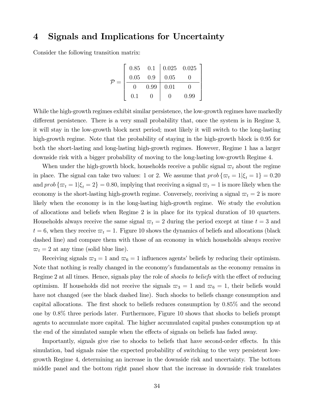### 4 Signals and Implications for Uncertainty

Consider the following transition matrix:

$$
\mathcal{P} = \left[ \begin{array}{ccc|ccc} 0.85 & 0.1 & 0.025 & 0.025 \\ 0.05 & 0.9 & 0.05 & 0 \\ \hline 0 & 0.99 & 0.01 & 0 \\ 0.1 & 0 & 0 & 0.99 \end{array} \right]
$$

While the high-growth regimes exhibit similar persistence, the low-growth regimes have markedly different persistence. There is a very small probability that, once the system is in Regime 3, it will stay in the low-growth block next period; most likely it will switch to the long-lasting high-growth regime. Note that the probability of staying in the high-growth block is 0.95 for both the short-lasting and long-lasting high-growth regimes. However, Regime 1 has a larger downside risk with a bigger probability of moving to the long-lasting low-growth Regime 4.

When under the high-growth block, households receive a public signal  $\varpi_t$  about the regime in place. The signal can take two values: 1 or 2. We assume that  $prob\{\varpi_t = 1 | \xi_t = 1\} = 0.20$ and  $prob \{\varpi_t = 1 | \xi_t = 2\} = 0.80$ , implying that receiving a signal  $\varpi_t = 1$  is more likely when the economy is the short-lasting high-growth regime. Conversely, receiving a signal  $\varpi_t = 2$  is more likely when the economy is in the long-lasting high-growth regime. We study the evolution of allocations and beliefs when Regime 2 is in place for its typical duration of 10 quarters. Households always receive the same signal  $\varpi_t = 2$  during the period except at time  $t = 3$  and  $t = 6$ , when they receive  $\varpi_t = 1$ . Figure 10 shows the dynamics of beliefs and allocations (black dashed line) and compare them with those of an economy in which households always receive  $\overline{\omega}_t = 2$  at any time (solid blue line).

Receiving signals  $\omega_3 = 1$  and  $\omega_6 = 1$  influences agents' beliefs by reducing their optimism. Note that nothing is really changed in the economyís fundamentals as the economy remains in Regime 2 at all times. Hence, signals play the role of *shocks to beliefs* with the effect of reducing optimism. If households did not receive the signals  $\omega_3 = 1$  and  $\omega_6 = 1$ , their beliefs would have not changed (see the black dashed line). Such shocks to beliefs change consumption and capital allocations. The first shock to beliefs reduces consumption by  $0.85\%$  and the second one by 0:8% three periods later. Furthermore, Figure 10 shows that shocks to beliefs prompt agents to accumulate more capital. The higher accumulated capital pushes consumption up at the end of the simulated sample when the effects of signals on beliefs has faded away.

Importantly, signals give rise to shocks to beliefs that have second-order effects. In this simulation, bad signals raise the expected probability of switching to the very persistent lowgrowth Regime 4, determining an increase in the downside risk and uncertainty. The bottom middle panel and the bottom right panel show that the increase in downside risk translates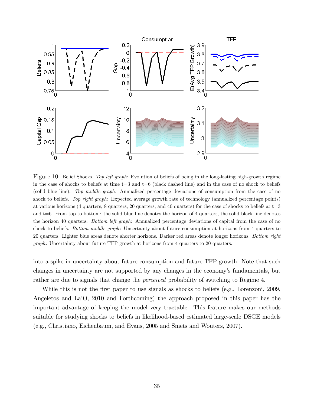

Figure 10: Belief Shocks. Top left graph: Evolution of beliefs of being in the long-lasting high-growth regime in the case of shocks to beliefs at time  $t=3$  and  $t=6$  (black dashed line) and in the case of no shock to beliefs (solid blue line). Top middle graph: Annualized percentage deviations of consumption from the case of no shock to beliefs. Top right graph: Expected average growth rate of technology (annualized percentage points) at various horizons (4 quarters, 8 quarters, 20 quarters, and 40 quarters) for the case of shocks to beliefs at  $t=3$ and  $t=6$ . From top to bottom: the solid blue line denotes the horizon of 4 quarters, the solid black line denotes the horizon 40 quarters. Bottom left graph: Annualized percentage deviations of capital from the case of no shock to beliefs. Bottom middle graph: Uncertainty about future consumption at horizons from 4 quarters to 20 quarters. Lighter blue areas denote shorter horizons. Darker red areas denote longer horizons. Bottom right graph: Uncertainty about future TFP growth at horizons from 4 quarters to 20 quarters.

into a spike in uncertainty about future consumption and future TFP growth. Note that such changes in uncertainty are not supported by any changes in the economy's fundamentals, but rather are due to signals that change the *perceived* probability of switching to Regime 4.

While this is not the first paper to use signals as shocks to beliefs (e.g., Lorenzoni, 2009, Angeletos and LaíO, 2010 and Forthcoming) the approach proposed in this paper has the important advantage of keeping the model very tractable. This feature makes our methods suitable for studying shocks to beliefs in likelihood-based estimated large-scale DSGE models (e.g., Christiano, Eichenbaum, and Evans, 2005 and Smets and Wouters, 2007).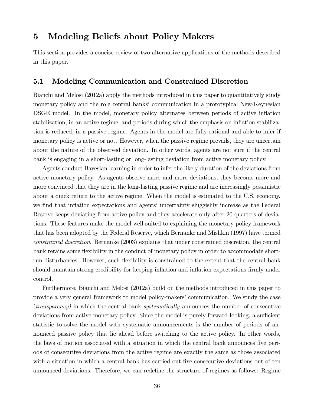### 5 Modeling Beliefs about Policy Makers

This section provides a concise review of two alternative applications of the methods described in this paper.

### 5.1 Modeling Communication and Constrained Discretion

Bianchi and Melosi (2012a) apply the methods introduced in this paper to quantitatively study monetary policy and the role central banks' communication in a prototypical New-Keynesian DSGE model. In the model, monetary policy alternates between periods of active inflation stabilization, in an active regime, and periods during which the emphasis on inflation stabilization is reduced, in a passive regime. Agents in the model are fully rational and able to infer if monetary policy is active or not. However, when the passive regime prevails, they are uncertain about the nature of the observed deviation. In other words, agents are not sure if the central bank is engaging in a short-lasting or long-lasting deviation from active monetary policy.

Agents conduct Bayesian learning in order to infer the likely duration of the deviations from active monetary policy. As agents observe more and more deviations, they become more and more convinced that they are in the long-lasting passive regime and are increasingly pessimistic about a quick return to the active regime. When the model is estimated to the U.S. economy, we find that inflation expectations and agents' uncertainty sluggishly increase as the Federal Reserve keeps deviating from active policy and they accelerate only after 20 quarters of deviations. These features make the model well-suited to explaining the monetary policy framework that has been adopted by the Federal Reserve, which Bernanke and Mishkin (1997) have termed constrained discretion. Bernanke (2003) explains that under constrained discretion, the central bank retains some flexibility in the conduct of monetary policy in order to accommodate shortrun disturbances. However, such flexibility is constrained to the extent that the central bank should maintain strong credibility for keeping inflation and inflation expectations firmly under control.

Furthermore, Bianchi and Melosi (2012a) build on the methods introduced in this paper to provide a very general framework to model policy-makers' communication. We study the case (transparency) in which the central bank systematically announces the number of consecutive deviations from active monetary policy. Since the model is purely forward-looking, a sufficient statistic to solve the model with systematic announcements is the number of periods of announced passive policy that lie ahead before switching to the active policy. In other words, the laws of motion associated with a situation in which the central bank announces five periods of consecutive deviations from the active regime are exactly the same as those associated with a situation in which a central bank has carried out five consecutive deviations out of ten announced deviations. Therefore, we can redefine the structure of regimes as follows: Regime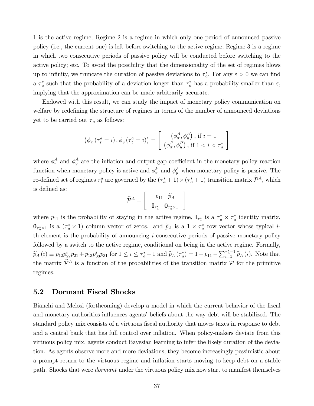1 is the active regime; Regime 2 is a regime in which only one period of announced passive policy (i.e., the current one) is left before switching to the active regime; Regime 3 is a regime in which two consecutive periods of passive policy will be conducted before switching to the active policy; etc. To avoid the possibility that the dimensionality of the set of regimes blows up to infinity, we truncate the duration of passive deviations to  $\tau_a^*$ . For any  $\varepsilon > 0$  we can find a  $\tau_a^*$  such that the probability of a deviation longer than  $\tau_a^*$  has a probability smaller than  $\varepsilon$ , implying that the approximation can be made arbitrarily accurate.

Endowed with this result, we can study the impact of monetary policy communication on welfare by redefining the structure of regimes in terms of the number of announced deviations yet to be carried out  $\tau_a$  as follows:

$$
\left(\phi_{\pi}\left(\tau_{t}^{a}=i\right),\phi_{y}\left(\tau_{t}^{a}=i\right)\right)=\left[\begin{array}{c} \left(\phi_{\pi}^{A},\phi_{y}^{A}\right), \ \text{if} \ i=1\\ \left(\phi_{\pi}^{P},\phi_{y}^{P}\right), \ \text{if} \ 1
$$

where  $\phi_{\pi}^{A}$  and  $\phi_{y}^{A}$  are the inflation and output gap coefficient in the monetary policy reaction function when monetary policy is active and  $\phi_{\pi}^{P}$  and  $\phi_{y}^{P}$  when monetary policy is passive. The re-defined set of regimes  $\tau_t^a$  are governed by the  $(\tau_a^* + 1) \times (\tau_a^* + 1)$  transition matrix  $\mathcal{P}^A$ , which is defined as:

$$
\widetilde{\mathcal{P}}^A = \left[ \begin{array}{c} p_{11} & \widetilde{p}_A \\ \mathbf{I}_{\tau_a^*} & \mathbf{0}_{\tau_a^* \times 1} \end{array} \right]
$$

where  $p_{11}$  is the probability of staying in the active regime,  $\mathbf{I}_{\tau_a^*}$  is a  $\tau_a^* \times \tau_a^*$  identity matrix,  $\mathbf{0}_{\tau_a^*\times 1}$  is a  $(\tau_a^*\times 1)$  column vector of zeros. and  $\widetilde{p}_A$  is a  $1 \times \tau_a^*$  row vector whose typical *i*th element is the probability of announcing  $i$  consecutive periods of passive monetary policy followed by a switch to the active regime, conditional on being in the active regime. Formally,  $\widetilde{p}_A(i) \equiv p_{12}p_{22}^i p_{21} + p_{13}p_{33}^i p_{31}$  for  $1 \le i \le \tau_a^* - 1$  and  $\widetilde{p}_A(\tau_a^*) = 1 - p_{11} - \sum_{i=1}^{\tau_a^* - 1} \widetilde{p}_A(i)$ . Note that the matrix  $\widetilde{\mathcal{P}}^A$  is a function of the probabilities of the transition matrix  $\mathcal P$  for the primitive regimes.

#### 5.2 Dormant Fiscal Shocks

Bianchi and Melosi (forthcoming) develop a model in which the current behavior of the fiscal and monetary authorities influences agents' beliefs about the way debt will be stabilized. The standard policy mix consists of a virtuous fiscal authority that moves taxes in response to debt and a central bank that has full control over inflation. When policy-makers deviate from this virtuous policy mix, agents conduct Bayesian learning to infer the likely duration of the deviation. As agents observe more and more deviations, they become increasingly pessimistic about a prompt return to the virtuous regime and inflation starts moving to keep debt on a stable path. Shocks that were dormant under the virtuous policy mix now start to manifest themselves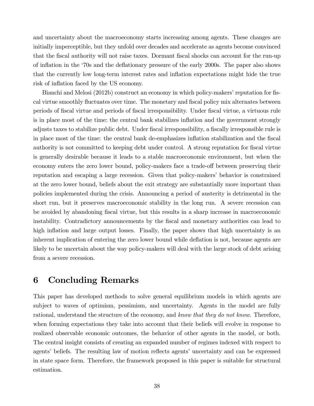and uncertainty about the macroeconomy starts increasing among agents. These changes are initially imperceptible, but they unfold over decades and accelerate as agents become convinced that the fiscal authority will not raise taxes. Dormant fiscal shocks can account for the run-up of ináation in the ë70s and the deáationary pressure of the early 2000s. The paper also shows that the currently low long-term interest rates and inflation expectations might hide the true risk of inflation faced by the US economy.

Bianchi and Melosi (2012b) construct an economy in which policy-makers' reputation for fiscal virtue smoothly fluctuates over time. The monetary and fiscal policy mix alternates between periods of Öscal virtue and periods of Öscal irresponsibility. Under Öscal virtue, a virtuous rule is in place most of the time: the central bank stabilizes inflation and the government strongly adjusts taxes to stabilize public debt. Under fiscal irresponsibility, a fiscally irresponsible rule is in place most of the time: the central bank de-emphasizes inflation stabilization and the fiscal authority is not committed to keeping debt under control. A strong reputation for fiscal virtue is generally desirable because it leads to a stable macroeconomic environment, but when the economy enters the zero lower bound, policy-makers face a trade-off between preserving their reputation and escaping a large recession. Given that policy-makers' behavior is constrained at the zero lower bound, beliefs about the exit strategy are substantially more important than policies implemented during the crisis. Announcing a period of austerity is detrimental in the short run, but it preserves macroeconomic stability in the long run. A severe recession can be avoided by abandoning fiscal virtue, but this results in a sharp increase in macroeconomic instability. Contradictory announcements by the Öscal and monetary authorities can lead to high inflation and large output losses. Finally, the paper shows that high uncertainty is an inherent implication of entering the zero lower bound while deflation is not, because agents are likely to be uncertain about the way policy-makers will deal with the large stock of debt arising from a severe recession.

# 6 Concluding Remarks

This paper has developed methods to solve general equilibrium models in which agents are subject to waves of optimism, pessimism, and uncertainty. Agents in the model are fully rational, understand the structure of the economy, and know that they do not know. Therefore, when forming expectations they take into account that their beliefs will evolve in response to realized observable economic outcomes, the behavior of other agents in the model, or both. The central insight consists of creating an expanded number of regimes indexed with respect to agents' beliefs. The resulting law of motion reflects agents' uncertainty and can be expressed in state space form. Therefore, the framework proposed in this paper is suitable for structural estimation.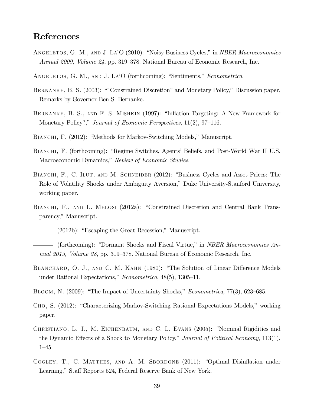# References

- ANGELETOS, G.-M., AND J. LA<sup>7</sup>O (2010): "Noisy Business Cycles," in *NBER Macroeconomics Annual 2009, Volume 24, pp.* 319–378. National Bureau of Economic Research, Inc.
- ANGELETOS, G. M., AND J. LA'O (forthcoming): "Sentiments," Econometrica.
- BERNANKE, B. S. (2003): ""Constrained Discretion" and Monetary Policy," Discussion paper, Remarks by Governor Ben S. Bernanke.
- BERNANKE, B. S., AND F. S. MISHKIN (1997): "Inflation Targeting: A New Framework for Monetary Policy?," Journal of Economic Perspectives,  $11(2)$ , 97–116.
- BIANCHI, F. (2012): "Methods for Markov-Switching Models," Manuscript.
- BIANCHI, F. (forthcoming): "Regime Switches, Agents' Beliefs, and Post-World War II U.S. Macroeconomic Dynamics," Review of Economic Studies.
- BIANCHI, F., C. ILUT, AND M. SCHNEIDER (2012): "Business Cycles and Asset Prices: The Role of Volatility Shocks under Ambiguity Aversion," Duke University-Stanford University, working paper.
- BIANCHI, F., AND L. MELOSI (2012a): "Constrained Discretion and Central Bank Transparency," Manuscript.
- (2012b): "Escaping the Great Recession," Manuscript.
- (forthcoming): "Dormant Shocks and Fiscal Virtue," in NBER Macroeconomics Annual 2013, Volume 28, pp. 319–378. National Bureau of Economic Research, Inc.
- BLANCHARD, O. J., AND C. M. KAHN (1980): "The Solution of Linear Difference Models under Rational Expectations,"  $Econometrica$ ,  $48(5)$ ,  $1305-11$ .
- BLOOM, N. (2009): "The Impact of Uncertainty Shocks," Econometrica, 77(3), 623-685.
- CHO, S. (2012): "Characterizing Markov-Switching Rational Expectations Models," working paper.
- CHRISTIANO, L. J., M. EICHENBAUM, AND C. L. EVANS (2005): "Nominal Rigidities and the Dynamic Effects of a Shock to Monetary Policy," Journal of Political Economy,  $113(1)$ ,  $1 - 45.$
- COGLEY, T., C. MATTHES, AND A. M. SBORDONE (2011): "Optimal Disinflation under Learning," Staff Reports 524, Federal Reserve Bank of New York.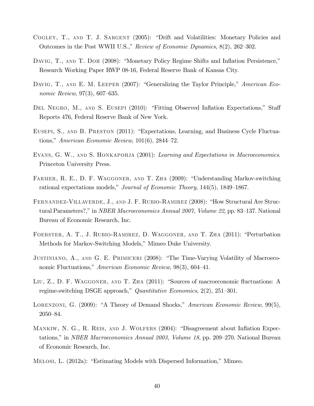- COGLEY, T., AND T. J. SARGENT (2005): "Drift and Volatilities: Monetary Policies and Outcomes in the Post WWII U.S.," Review of Economic Dynamics,  $8(2)$ ,  $262-302$ .
- DAVIG, T., AND T. DOH (2008): "Monetary Policy Regime Shifts and Inflation Persistence," Research Working Paper RWP 08-16, Federal Reserve Bank of Kansas City.
- DAVIG, T., AND E. M. LEEPER (2007): "Generalizing the Taylor Principle," American Economic Review,  $97(3)$ , 607–635.
- DEL NEGRO, M., AND S. EUSEPI (2010): "Fitting Observed Inflation Expectations," Staff Reports 476, Federal Reserve Bank of New York.
- EUSEPI, S., AND B. PRESTON (2011): "Expectations, Learning, and Business Cycle Fluctuations," American Economic Review,  $101(6)$ , 2844–72.
- EVANS, G. W., AND S. HONKAPOHJA (2001): Learning and Expectations in Macroeconomics. Princeton University Press.
- FARMER, R. E., D. F. WAGGONER, AND T. ZHA (2009): "Understanding Markov-switching rational expectations models," Journal of Economic Theory,  $144(5)$ ,  $1849-1867$ .
- FERNANDEZ-VILLAVERDE, J., AND J. F. RUBIO-RAMIREZ (2008): "How Structural Are Structural Parameters?," in NBER Macroeconomics Annual 2007, Volume 22, pp. 83-137. National Bureau of Economic Research, Inc.
- FOERSTER, A. T., J. RUBIO-RAMIREZ, D. WAGGONER, AND T. ZHA (2011): "Perturbation Methods for Markov-Switching Models," Mimeo Duke University.
- JUSTINIANO, A., AND G. E. PRIMICERI (2008): "The Time-Varying Volatility of Macroeconomic Fluctuations," American Economic Review,  $98(3)$ ,  $604-41$ .
- LIU, Z., D. F. WAGGONER, AND T. ZHA (2011): "Sources of macroeconomic fluctuations: A regime-switching DSGE approach," Quantitative Economics,  $2(2)$ ,  $251-301$ .
- LORENZONI, G. (2009): "A Theory of Demand Shocks," American Economic Review, 99(5),  $2050 - 84.$
- MANKIW, N. G., R. REIS, AND J. WOLFERS (2004): "Disagreement about Inflation Expectations," in *NBER Macroeconomics Annual 2003, Volume 18*, pp. 209–270. National Bureau of Economic Research, Inc.
- MELOSI, L. (2012a): "Estimating Models with Dispersed Information," Mimeo.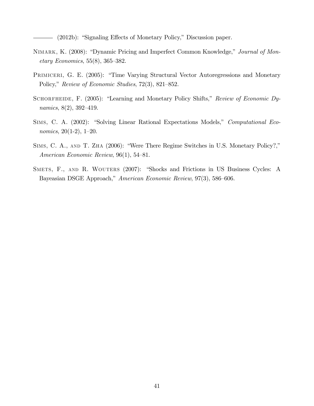- (2012b): "Signaling Effects of Monetary Policy," Discussion paper.

- NIMARK, K. (2008): "Dynamic Pricing and Imperfect Common Knowledge," Journal of Mon- $_{\textit{etary Economics}}$ , 55(8), 365–382.
- PRIMICERI, G. E. (2005): "Time Varying Structural Vector Autoregressions and Monetary Policy," Review of Economic Studies, 72(3), 821–852.
- SCHORFHEIDE, F. (2005): "Learning and Monetary Policy Shifts," Review of Economic Dynamics,  $8(2)$ ,  $392-419$ .
- SIMS, C. A. (2002): "Solving Linear Rational Expectations Models," Computational Economics,  $20(1-2)$ , 1-20.
- SIMS, C. A., AND T. ZHA (2006): "Were There Regime Switches in U.S. Monetary Policy?," American Economic Review,  $96(1)$ , 54–81.
- SMETS, F., AND R. WOUTERS (2007): "Shocks and Frictions in US Business Cycles: A Bayeasian DSGE Approach," American Economic Review, 97(3), 586–606.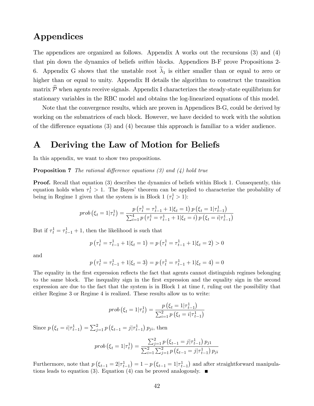# Appendices

The appendices are organized as follows. Appendix A works out the recursions (3) and (4) that pin down the dynamics of beliefs within blocks. Appendices B-F prove Propositions 2- 6. Appendix G shows that the unstable root  $\lambda_1$  is either smaller than or equal to zero or higher than or equal to unity. Appendix H details the algorithm to construct the transition matrix  $\overline{\mathcal{P}}$  when agents receive signals. Appendix I characterizes the steady-state equilibrium for stationary variables in the RBC model and obtains the log-linearized equations of this model.

Note that the convergence results, which are proven in Appendices B-G, could be derived by working on the submatrices of each block. However, we have decided to work with the solution of the difference equations  $(3)$  and  $(4)$  because this approach is familiar to a wider audience.

### A Deriving the Law of Motion for Beliefs

In this appendix, we want to show two propositions.

**Proposition 7** The rational difference equations (3) and (4) hold true

**Proof.** Recall that equation (3) describes the dynamics of beliefs within Block 1. Consequently, this equation holds when  $\tau_t^1 > 1$ . The Bayes' theorem can be applied to characterize the probability of being in Regime 1 given that the system is in Block 1  $(\tau_t^1 > 1)$ :

$$
prob\left(\xi_{t}=1|\tau_{t}^{1}\right)=\frac{p\left(\tau_{t}^{1}=\tau_{t-1}^{1}+1|\xi_{t}=1\right)p\left(\xi_{t}=1|\tau_{t-1}^{1}\right)}{\sum_{i=1}^{4}p\left(\tau_{t}^{1}=\tau_{t-1}^{1}+1|\xi_{t}=i\right)p\left(\xi_{t}=i|\tau_{t-1}^{1}\right)}
$$

But if  $\tau_t^1 = \tau_{t-1}^1 + 1$ , then the likelihood is such that

$$
p\left(\tau_t^1 = \tau_{t-1}^1 + 1 | \xi_t = 1\right) = p\left(\tau_t^1 = \tau_{t-1}^1 + 1 | \xi_t = 2\right) > 0
$$

and

$$
p\left(\tau_t^1 = \tau_{t-1}^1 + 1 | \xi_t = 3\right) = p\left(\tau_t^1 = \tau_{t-1}^1 + 1 | \xi_t = 4\right) = 0
$$

The equality in the first expression reflects the fact that agents cannot distinguish regimes belonging to the same block. The inequality sign in the first expression and the equality sign in the second expression are due to the fact that the system is in Block 1 at time  $t$ , ruling out the possibility that either Regime 3 or Regime 4 is realized. These results allow us to write:

$$
prob\left(\xi_{t}=1|\tau_{t}^{1}\right)=\frac{p\left(\xi_{t}=1|\tau_{t-1}^{1}\right)}{\sum_{i=1}^{2} p\left(\xi_{t}=i|\tau_{t-1}^{1}\right)}
$$

Since  $p\left(\xi_t = i|\tau_{t-1}^1\right) = \sum_{j=1}^2 p\left(\xi_{t-1} = j|\tau_{t-1}^1\right) p_{ji}$ , then

$$
prob\left(\xi_{t}=1|\tau_{t}^{1}\right)=\frac{\sum_{j=1}^{2}p\left(\xi_{t-1}=j|\tau_{t-1}^{1}\right)p_{j1}}{\sum_{i=1}^{2}\sum_{j=1}^{2}p\left(\xi_{t-1}=j|\tau_{t-1}^{1}\right)p_{ji}}
$$

Furthermore, note that  $p(\xi_{t-1} = 2 | \tau_{t-1}^1) = 1 - p(\xi_{t-1} = 1 | \tau_{t-1}^1)$  and after straightforward manipulations leads to equation (3). Equation (4) can be proved analogously.  $\blacksquare$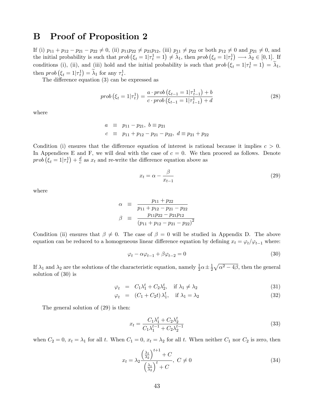### B Proof of Proposition 2

If (i)  $p_{11} + p_{12} - p_{21} - p_{22} \neq 0$ , (ii)  $p_{11}p_{22} \neq p_{21}p_{12}$ , (iii)  $p_{11} \neq p_{22}$  or both  $p_{12} \neq 0$  and  $p_{21} \neq 0$ , and the initial probability is such that  $prob(\xi_t = 1 | \tau_t^1 = 1) \neq \tilde{\lambda}_1$ , then  $prob(\xi_t = 1 | \tau_t^1) \longrightarrow \tilde{\lambda}_2 \in [0, 1]$ . If conditions (i), (ii), and (iii) hold and the initial probability is such that  $prob(\xi_t = 1 | \tau_t^1 = 1) = \tilde{\lambda}_1$ , then  $prob(\xi_t = 1 | \tau_t^1) = \tilde{\lambda}_1$  for any  $\tau_t^1$ .

The difference equation  $(3)$  can be expressed as

$$
prob\left(\xi_{t}=1|\tau_{t}^{1}\right)=\frac{a \cdot prob\left(\xi_{t-1}=1|\tau_{t-1}^{1}\right)+b}{c \cdot prob\left(\xi_{t-1}=1|\tau_{t-1}^{1}\right)+d}
$$
\n(28)

where

$$
a \equiv p_{11} - p_{21}, b \equiv p_{21}
$$
  
\n $c \equiv p_{11} + p_{12} - p_{21} - p_{22}, d \equiv p_{21} + p_{22}$ 

Condition (i) ensures that the difference equation of interest is rational because it implies  $c > 0$ . In Appendices E and F, we will deal with the case of  $c = 0$ . We then proceed as follows. Denote  $prob\left(\xi_t=1|\tau^1_t\right)+\frac{d}{c}$  $\frac{d}{c}$  as  $x_t$  and re-write the difference equation above as

$$
x_t = \alpha - \frac{\beta}{x_{t-1}}
$$
 (29)

where

$$
\alpha \equiv \frac{p_{11} + p_{22}}{p_{11} + p_{12} - p_{21} - p_{22}}
$$
  

$$
\beta \equiv \frac{p_{11}p_{22} - p_{21}p_{12}}{(p_{11} + p_{12} - p_{21} - p_{22})^2}
$$

Condition (ii) ensures that  $\beta \neq 0$ . The case of  $\beta = 0$  will be studied in Appendix D. The above equation can be reduced to a homogeneous linear difference equation by defining  $x_t = \varphi_t/\varphi_{t-1}$  where:

$$
\varphi_t - \alpha \varphi_{t-1} + \beta \varphi_{t-2} = 0 \tag{30}
$$

If  $\lambda_1$  and  $\lambda_2$  are the solutions of the characteristic equation, namely  $\frac{1}{2}\alpha \pm \frac{1}{2}$  $\frac{1}{2}\sqrt{\alpha^2-4\beta}$ , then the general solution of (30) is

$$
\varphi_t = C_1 \lambda_1^t + C_2 \lambda_2^t, \quad \text{if } \lambda_1 \neq \lambda_2 \tag{31}
$$

$$
\varphi_t = (C_1 + C_2 t) \lambda_1^t, \quad \text{if } \lambda_1 = \lambda_2 \tag{32}
$$

The general solution of (29) is then:

$$
x_t = \frac{C_1 \lambda_1^t + C_2 \lambda_2^t}{C_1 \lambda_1^{t-1} + C_2 \lambda_2^{t-1}}
$$
\n(33)

when  $C_2 = 0$ ,  $x_t = \lambda_1$  for all t. When  $C_1 = 0$ ,  $x_t = \lambda_2$  for all t. When neither  $C_1$  nor  $C_2$  is zero, then

$$
x_t = \lambda_2 \frac{\left(\frac{\lambda_1}{\lambda_2}\right)^{t+1} + C}{\left(\frac{\lambda_1}{\lambda_2}\right)^t + C}, \ C \neq 0 \tag{34}
$$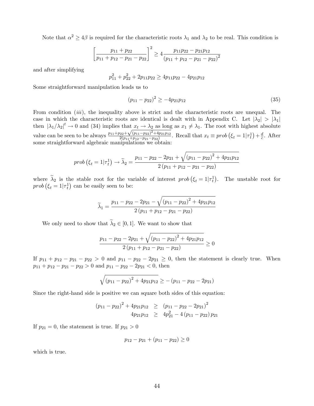Note that  $\alpha^2 \ge 4\beta$  is required for the characteristic roots  $\lambda_1$  and  $\lambda_2$  to be real. This condition is

$$
\left[\frac{p_{11} + p_{22}}{p_{11} + p_{12} - p_{21} - p_{22}}\right]^2 \ge 4 \frac{p_{11}p_{22} - p_{21}p_{12}}{(p_{11} + p_{12} - p_{21} - p_{22})^2}
$$

and after simplifying

$$
p_{11}^2 + p_{22}^2 + 2p_{11}p_{22} \ge 4p_{11}p_{22} - 4p_{21}p_{12}
$$

Some straightforward manipulation leads us to

$$
(p_{11} - p_{22})^2 \ge -4p_{21}p_{12} \tag{35}
$$

From condition *(iii)*, the inequality above is strict and the characteristic roots are unequal. The case in which the characteristic roots are identical is dealt with in Appendix C. Let  $|\lambda_2| > |\lambda_1|$ then  $|\lambda_1/\lambda_2|^t \to 0$  and (34) implies that  $x_t \to \lambda_2$  as long as  $x_1 \neq \lambda_1$ . The root with highest absolute value can be seen to be always  $\frac{p_{11}+p_{22}+\sqrt{(p_{11}-p_{22})^2+4p_{21}p_{12}}}{2(p_{11}+p_{12}-p_{21}-p_{12})}$  $2^{(p_1+p_1p_2-p_2)^2+4p_2p_1p_1}$ . Recall that  $x_t \equiv prob(\xi_t=1|\tau_t^1)+\frac{d}{c}$  $\frac{a}{c}$ . After some straightforward algebraic manipulations we obtain:

$$
prob\left(\xi_{t}=1|\tau_{t}^{1}\right) \rightarrow \widetilde{\lambda}_{2} = \frac{p_{11} - p_{22} - 2p_{21} + \sqrt{\left(p_{11} - p_{22}\right)^{2} + 4p_{21}p_{12}}}{2\left(p_{11} + p_{12} - p_{21} - p_{22}\right)}
$$

where  $\tilde{\lambda}_2$  is the stable root for the variable of interest  $prob(\xi_t=1|\tau_t)$ . The unstable root for  $prob(\xi_t = 1 | \tau_t^1)$  can be easily seen to be:

$$
\widetilde{\lambda}_1 = \frac{p_{11} - p_{22} - 2p_{21} - \sqrt{(p_{11} - p_{22})^2 + 4p_{21}p_{12}}}{2(p_{11} + p_{12} - p_{21} - p_{22})}
$$

We only need to show that  $\widetilde{\lambda}_2 \in [0, 1]$ . We want to show that

$$
\frac{p_{11} - p_{22} - 2p_{21} + \sqrt{\left(p_{11} - p_{22}\right)^2 + 4p_{21}p_{12}}}{2\left(p_{11} + p_{12} - p_{21} - p_{22}\right)} \ge 0
$$

If  $p_{11} + p_{12} - p_{21} - p_{22} > 0$  and  $p_{11} - p_{22} - 2p_{21} \ge 0$ , then the statement is clearly true. When  $p_{11} + p_{12} - p_{21} - p_{22} > 0$  and  $p_{11} - p_{22} - 2p_{21} < 0$ , then

$$
\sqrt{(p_{11} - p_{22})^2 + 4p_{21}p_{12}} \geq -(p_{11} - p_{22} - 2p_{21})
$$

Since the right-hand side is positive we can square both sides of this equation:

$$
(p_{11} - p_{22})^2 + 4p_{21}p_{12} \ge (p_{11} - p_{22} - 2p_{21})^2
$$
  
 
$$
4p_{21}p_{12} \ge 4p_{21}^2 - 4(p_{11} - p_{22})p_{21}
$$

If  $p_{21} = 0$ , the statement is true. If  $p_{21} > 0$ 

$$
p_{12} - p_{21} + (p_{11} - p_{22}) \ge 0
$$

which is true.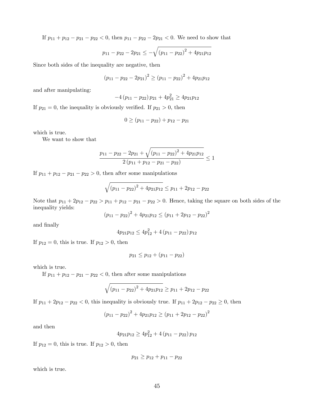If  $p_{11} + p_{12} - p_{21} - p_{22} < 0$ , then  $p_{11} - p_{22} - 2p_{21} < 0$ . We need to show that

$$
p_{11} - p_{22} - 2p_{21} \le -\sqrt{(p_{11} - p_{22})^2 + 4p_{21}p_{12}}
$$

Since both sides of the inequality are negative, then

$$
(p_{11} - p_{22} - 2p_{21})^2 \ge (p_{11} - p_{22})^2 + 4p_{21}p_{12}
$$

and after manipulating:

$$
-4(p_{11} - p_{22})p_{21} + 4p_{21}^2 \ge 4p_{21}p_{12}
$$

If  $p_{21} = 0$ , the inequality is obviously verified. If  $p_{21} > 0$ , then

$$
0 \ge (p_{11} - p_{22}) + p_{12} - p_{21}
$$

which is true.

We want to show that

$$
\frac{p_{11} - p_{22} - 2p_{21} + \sqrt{(p_{11} - p_{22})^2 + 4p_{21}p_{12}}}{2(p_{11} + p_{12} - p_{21} - p_{22})} \le 1
$$

If  $p_{11} + p_{12} - p_{21} - p_{22} > 0$ , then after some manipulations

$$
\sqrt{(p_{11} - p_{22})^2 + 4p_{21}p_{12}} \le p_{11} + 2p_{12} - p_{22}
$$

Note that  $p_{11} + 2p_{12} - p_{22} > p_{11} + p_{12} - p_{21} - p_{22} > 0$ . Hence, taking the square on both sides of the inequality yields:

$$
(p_{11} - p_{22})^2 + 4p_{21}p_{12} \le (p_{11} + 2p_{12} - p_{22})^2
$$

and finally

$$
4p_{21}p_{12} \le 4p_{12}^2 + 4(p_{11} - p_{22})p_{12}
$$

If  $p_{12} = 0$ , this is true. If  $p_{12} > 0$ , then

$$
p_{21} \leq p_{12} + (p_{11} - p_{22})
$$

which is true.

If  $p_{11} + p_{12} - p_{21} - p_{22} < 0$ , then after some manipulations

$$
\sqrt{(p_{11} - p_{22})^2 + 4p_{21}p_{12}} \ge p_{11} + 2p_{12} - p_{22}
$$

If  $p_{11} + 2p_{12} - p_{22} < 0$ , this inequality is obviously true. If  $p_{11} + 2p_{12} - p_{22} \ge 0$ , then

$$
(p_{11} - p_{22})^2 + 4p_{21}p_{12} \ge (p_{11} + 2p_{12} - p_{22})^2
$$

and then

$$
4p_{21}p_{12} \ge 4p_{12}^2 + 4(p_{11} - p_{22})p_{12}
$$

If  $p_{12} = 0$ , this is true. If  $p_{12} > 0$ , then

$$
p_{21} \ge p_{12} + p_{11} - p_{22}
$$

which is true.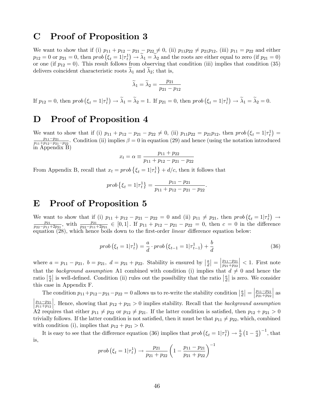### C Proof of Proposition 3

We want to show that if (i)  $p_{11} + p_{12} - p_{21} - p_{22} \neq 0$ , (ii)  $p_{11}p_{22} \neq p_{21}p_{12}$ , (iii)  $p_{11} = p_{22}$  and either  $p_{12} = 0$  or  $p_{21} = 0$ , then  $prob(\xi_t = 1|\tau_t^1) \to \tilde{\lambda}_1 = \tilde{\lambda}_2$  and the roots are either equal to zero (if  $p_{21} = 0$ ) or one (if  $p_{12} = 0$ ). This result follows from observing that condition (iii) implies that condition (35) delivers coincident characteristic roots  $\lambda_1$  and  $\lambda_2$ ; that is,

$$
\widetilde{\lambda}_1 = \widetilde{\lambda}_2 = \frac{p_{21}}{p_{21} - p_{12}}
$$

If  $p_{12} = 0$ , then  $prob(\xi_t = 1 | \tau_t^1) \to \tilde{\lambda}_1 = \tilde{\lambda}_2 = 1$ . If  $p_{21} = 0$ , then  $prob(\xi_t = 1 | \tau_t^1) \to \tilde{\lambda}_1 = \tilde{\lambda}_2 = 0$ .

### D Proof of Proposition 4

We want to show that if (i)  $p_{11} + p_{12} - p_{21} - p_{22} \neq 0$ , (ii)  $p_{11}p_{22} = p_{21}p_{12}$ , then  $prob(\xi_t = 1|\tau_t) =$  $p_{11}-p_{21}$  $\frac{p_{11}-p_{21}}{p_{11}+p_{12}-p_{21}-p_{22}}$ . Condition (ii) implies  $\beta=0$  in equation (29) and hence (using the notation introduced in Appendix B)

$$
x_t = \alpha \equiv \frac{p_{11} + p_{22}}{p_{11} + p_{12} - p_{21} - p_{22}}
$$

From Appendix B, recall that  $x_t = prob \{\xi_t = 1 | \tau_t^1\} + d/c$ , then it follows that

$$
prob\left\{\xi_t=1|\tau_t^1\right\}=\frac{p_{11}-p_{21}}{p_{11}+p_{12}-p_{21}-p_{22}}.
$$

### E Proof of Proposition 5

We want to show that if (i)  $p_{11} + p_{12} - p_{21} - p_{22} = 0$  and (ii)  $p_{11} \neq p_{21}$ , then  $prob(\xi_t = 1 | \tau_t^1) \to$ <br> $p_{21} = p_{21} = p_{21} = p_{21} = p_{22} = 0$  and (ii)  $p_{11} \neq p_{21}$ , then  $prob(\xi_t = 1 | \tau_t^1) \to$  $\frac{p_{21}}{p_{22}-p_{11}+2p_{21}}$ , with  $\frac{p_{21}}{p_{22}-p_{11}+2p_{21}} \in [0,1]$ . If  $p_{11}+p_{12}-p_{21}-p_{22}=0$ , then  $c=0$  in the difference equation (28), which hence boils down to the first-order *linear* difference equation below:

$$
prob(\xi_t = 1 | \tau_t^1) = \frac{a}{d} \cdot prob(\xi_{t-1} = 1 | \tau_{t-1}^1) + \frac{b}{d}
$$
\n(36)

where  $a = p_{11} - p_{21}$ ,  $b = p_{21}$ ,  $d = p_{21} + p_{22}$ . Stability is ensured by  $\left| \frac{a}{d} \right| =$  $\frac{p_{11}-p_{21}}{p_{21}+p_{22}}$  $\vert$  < 1. First note that the background assumption A1 combined with condition (i) implies that  $d \neq 0$  and hence the ratio  $\left|\frac{a}{d}\right|$  is well-defined. Condition (ii) rules out the possibility that the ratio  $\left|\frac{a}{d}\right|$  is zero. We consider this case in Appendix F.

The condition  $p_{11} + p_{12} - p_{21} - p_{22} = 0$  allows us to re-write the stability condition  $\left|\frac{a}{d}\right| = \left| \frac{a}{d}\right|$  $\frac{p_{11}-p_{21}}{p_{21}+p_{22}}$    as  $\frac{p_{11}-p_{21}}{p_{11}+p_{12}}$ . Hence, showing that  $p_{12} + p_{21} > 0$  implies stability. Recall that the background assumption A2 requires that either  $p_{11} \neq p_{22}$  or  $p_{12} \neq p_{21}$ . If the latter condition is satisfied, then  $p_{12} + p_{21} > 0$ trivially follows. If the latter condition is not satisfied, then it must be that  $p_{11} \neq p_{22}$ , which, combined with condition (i), implies that  $p_{12} + p_{21} > 0$ .

It is easy to see that the difference equation (36) implies that  $prob(\xi_t = 1|\tau_t^1) \to \frac{b}{d} (1 - \frac{a}{d})$  $\frac{a}{d}$  $)^{-1}$ , that is,

$$
prob\left(\xi_t = 1 | \tau_t^1\right) \rightarrow \frac{p_{21}}{p_{21} + p_{22}} \left(1 - \frac{p_{11} - p_{21}}{p_{21} + p_{22}}\right)^{-1}
$$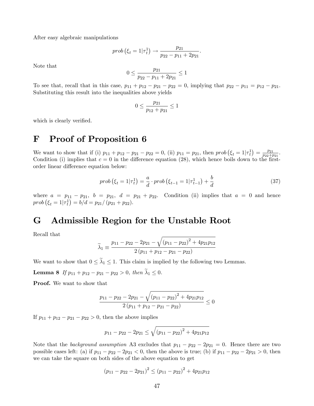After easy algebraic manipulations

$$
prob\left(\xi_t = 1 | \tau_t^1\right) \rightarrow \frac{p_{21}}{p_{22} - p_{11} + 2p_{21}}.
$$

Note that

$$
0\leq \frac{p_{21}}{p_{22}-p_{11}+2p_{21}}\leq 1
$$

To see that, recall that in this case,  $p_{11} + p_{12} - p_{21} - p_{22} = 0$ , implying that  $p_{22} - p_{11} = p_{12} - p_{21}$ . Substituting this result into the inequalities above yields

$$
0 \le \frac{p_{21}}{p_{12} + p_{21}} \le 1
$$

which is clearly verified.

# F Proof of Proposition 6

We want to show that if (i)  $p_{11} + p_{12} - p_{21} - p_{22} = 0$ , (ii)  $p_{11} = p_{21}$ , then  $prob(\xi_t = 1 | \tau_t^1) = \frac{p_{21}}{p_{22} + p_{21}}$  $\frac{p_{21}}{p_{22}+p_{21}}.$ Condition (i) implies that  $c = 0$  in the difference equation (28), which hence boils down to the firstorder linear difference equation below:

$$
prob(\xi_t = 1|\tau_t^1) = \frac{a}{d} \cdot prob(\xi_{t-1} = 1|\tau_{t-1}^1) + \frac{b}{d}
$$
\n(37)

where  $a = p_{11} - p_{21}$ ,  $b = p_{21}$ ,  $d = p_{21} + p_{22}$ . Condition (ii) implies that  $a = 0$  and hence  $prob(\xi_t = 1 | \tau_t^1) = b/d = p_{21}/(p_{21} + p_{22}).$ 

### G Admissible Region for the Unstable Root

Recall that

$$
\widetilde{\lambda}_1 \equiv \frac{p_{11} - p_{22} - 2p_{21} - \sqrt{(p_{11} - p_{22})^2 + 4p_{21}p_{12}}}{2(p_{11} + p_{12} - p_{21} - p_{22})}
$$

We want to show that  $0 \leq \tilde{\lambda}_1 \leq 1$ . This claim is implied by the following two Lemmas.

**Lemma 8** If  $p_{11} + p_{12} - p_{21} - p_{22} > 0$ , then  $\tilde{\lambda}_1 \leq 0$ .

Proof. We want to show that

$$
\frac{p_{11} - p_{22} - 2p_{21} - \sqrt{(p_{11} - p_{22})^2 + 4p_{21}p_{12}}}{2(p_{11} + p_{12} - p_{21} - p_{22})} \le 0
$$

If  $p_{11} + p_{12} - p_{21} - p_{22} > 0$ , then the above implies

$$
p_{11} - p_{22} - 2p_{21} \le \sqrt{\left(p_{11} - p_{22}\right)^2 + 4p_{21}p_{12}}
$$

Note that the background assumption A3 excludes that  $p_{11} - p_{22} - 2p_{21} = 0$ . Hence there are two possible cases left: (a) if  $p_{11} - p_{22} - 2p_{21} < 0$ , then the above is true; (b) if  $p_{11} - p_{22} - 2p_{21} > 0$ , then we can take the square on both sides of the above equation to get

$$
(p_{11} - p_{22} - 2p_{21})^2 \le (p_{11} - p_{22})^2 + 4p_{21}p_{12}
$$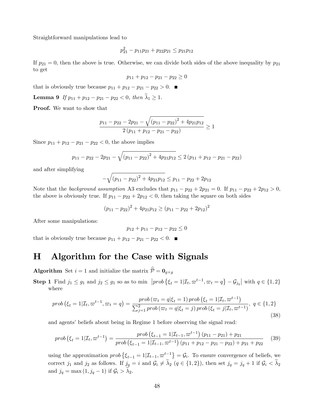Straightforward manipulations lead to

$$
p_{21}^2 - p_{11}p_{21} + p_{22}p_{21} \le p_{21}p_{12}
$$

If  $p_{21} = 0$ , then the above is true. Otherwise, we can divide both sides of the above inequality by  $p_{21}$ to get

$$
p_{11} + p_{12} - p_{21} - p_{22} \ge 0
$$

that is obviously true because  $p_{11} + p_{12} - p_{21} - p_{22} > 0$ .

**Lemma 9** If 
$$
p_{11} + p_{12} - p_{21} - p_{22} < 0
$$
, then  $\lambda_1 \geq 1$ .

Proof. We want to show that

$$
\frac{p_{11} - p_{22} - 2p_{21} - \sqrt{(p_{11} - p_{22})^2 + 4p_{21}p_{12}}}{2(p_{11} + p_{12} - p_{21} - p_{22})} \ge 1
$$

Since  $p_{11} + p_{12} - p_{21} - p_{22} < 0$ , the above implies

$$
p_{11} - p_{22} - 2p_{21} - \sqrt{(p_{11} - p_{22})^2 + 4p_{21}p_{12}} \le 2(p_{11} + p_{12} - p_{21} - p_{22})
$$

and after simplifying

$$
-\sqrt{(p_{11}-p_{22})^2+4p_{21}p_{12}} \le p_{11}-p_{22}+2p_{12}
$$

Note that the background assumption A3 excludes that  $p_{11} - p_{22} + 2p_{21} = 0$ . If  $p_{11} - p_{22} + 2p_{12} > 0$ , the above is obviously true. If  $p_{11} - p_{22} + 2p_{12} < 0$ , then taking the square on both sides

$$
(p_{11} - p_{22})^2 + 4p_{21}p_{12} \ge (p_{11} - p_{22} + 2p_{12})^2
$$

After some manipulations:

$$
p_{12} + p_{11} - p_{12} - p_{22} \le 0
$$

that is obviously true because  $p_{11} + p_{12} - p_{21} - p_{22} < 0$ .

# H Algorithm for the Case with Signals

**Algorithm** Set  $i = 1$  and initialize the matrix  $\mathcal{P} = \mathbf{0}_{g \times g}$ 

**Step 1** Find  $j_1 \leq g_1$  and  $j_2 \leq g_1$  so as to min  $\left[ prob \{\xi_t = 1 | \mathcal{I}_t, \varpi^{t-1}, \varpi_t = q\} - \mathcal{G}_{j_q} \right]$  with  $q \in \{1, 2\}$ where

$$
prob\left(\xi_{t}=1|\mathcal{I}_{t},\varpi^{t-1},\varpi_{t}=q\right)=\frac{prob\left(\varpi_{t}=q|\xi_{t}=1\right)prob\left(\xi_{t}=1|\mathcal{I}_{t},\varpi^{t-1}\right)}{\sum_{j=1}^{2}prob\left(\varpi_{t}=q|\xi_{t}=j\right)prob\left(\xi_{t}=j|\mathcal{I}_{t},\varpi^{t-1}\right)},\ q\in\{1,2\}
$$
\n
$$
(38)
$$

and agents' beliefs about being in Regime 1 before observing the signal read:

$$
prob\left(\xi_{t}=1|\mathcal{I}_{t},\varpi^{t-1}\right)=\frac{prob\left(\xi_{t-1}=1|\mathcal{I}_{t-1},\varpi^{t-1}\right)\left(p_{11}-p_{21}\right)+p_{21}}{prob\left(\xi_{t-1}=1|\mathcal{I}_{t-1},\varpi^{t-1}\right)\left(p_{11}+p_{12}-p_{21}-p_{22}\right)+p_{21}+p_{22}}\tag{39}
$$

using the approximation  $prob\left\{\xi_{t-1} = 1 | \mathcal{I}_{t-1}, \varpi_{\zeta}^{t-1}\right\} = \mathcal{G}_i$ . To ensure convergence of beliefs, we correct  $j_1$  and  $j_2$  as follows. If  $j_q = i$  and  $\mathcal{G}_i \neq \tilde{\lambda}_2$   $(q \in \{1, 2\})$ , then set  $j_q = j_q + 1$  if  $\mathcal{G}_i < \tilde{\lambda}_2$ and  $j_q = \max(1, j_q - 1)$  if  $\mathcal{G}_i > \lambda_2$ .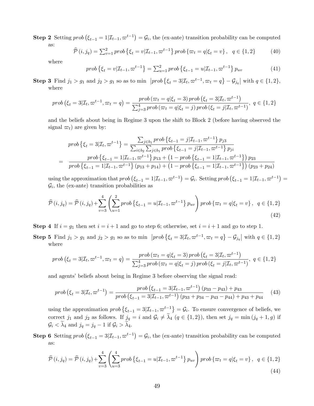**Step 2** Setting  $prob(\xi_{t-1} = 1 | \mathcal{I}_{t-1}, \varpi^{t-1}) = \mathcal{G}_i$ , the (ex-ante) transition probability can be computed as:

$$
\hat{\mathcal{P}}(i,j_q) = \sum_{v=1}^{2} prob \{\xi_t = v | \mathcal{I}_{t-1}, \varpi^{t-1} \} prob \{\varpi_t = q | \xi_t = v \}, \quad q \in \{1,2\}
$$
 (40)

where

$$
prob\{\xi_t = v|\mathcal{I}_{t-1}, \varpi^{t-1}\} = \sum_{u=1}^2 prob\{\xi_{t-1} = u|\mathcal{I}_{t-1}, \varpi^{t-1}\} p_{uv}
$$
(41)

**Step 3** Find  $j_1 > g_1$  and  $j_2 > g_1$  so as to min  $\left[ prob \{ \xi_t = 3 | \mathcal{I}_t, \varpi^{t-1}, \varpi_t = q \} - \mathcal{G}_{j_q} \right]$  with  $q \in \{1, 2\}$ , where

$$
prob\left(\xi_t = 3|\mathcal{I}_t, \varpi^{t-1}, \varpi_t = q\right) = \frac{prob\left(\varpi_t = q|\xi_t = 3\right)prob\left(\xi_t = 3|\mathcal{I}_t, \varpi^{t-1}\right)}{\sum_{j=3}^4 prob\left(\varpi_t = q|\xi_t = j\right)prob\left(\xi_t = j|\mathcal{I}_t, \varpi^{t-1}\right)}, \ q \in \{1, 2\}
$$

and the beliefs about being in Regime 3 upon the shift to Block 2 (before having observed the signal  $\varpi_t$ ) are given by:

$$
prob\{\xi_t = 3|\mathcal{I}_t, \varpi^{t-1}\} = \frac{\sum_{j \in b_1} prob\{\xi_{t-1} = j|\mathcal{I}_{t-1}, \varpi^{t-1}\} p_{j3}}{\sum_{i \in b_2} \sum_{j \in b_1} prob\{\xi_{t-1} = j|\mathcal{I}_{t-1}, \varpi^{t-1}\} p_{ji}}
$$

$$
= \frac{prob\{\xi_{t-1} = 1|\mathcal{I}_{t-1}, \varpi^{t-1}\} p_{13} + (1 - prob\{\xi_{t-1} = 1|\mathcal{I}_{t-1}, \varpi^{t-1}\}) p_{23}}{prob\{\xi_{t-1} = 1|\mathcal{I}_{t-1}, \varpi^{t-1}\} (p_{13} + p_{14}) + (1 - prob\{\xi_{t-1} = 1|\mathcal{I}_{t-1}, \varpi^{t-1}\}) (p_{23} + p_{24})}
$$

using the approximation that  $prob(\xi_{t-1} = 1 | \mathcal{I}_{t-1}, \varpi^{t-1}) = \mathcal{G}_i$ . Setting  $prob(\xi_{t-1} = 1 | \mathcal{I}_{t-1}, \varpi^{t-1}) =$  $\mathcal{G}_i$ , the (ex-ante) transition probabilities as

$$
\hat{\mathcal{P}}(i,j_q) = \hat{\mathcal{P}}(i,j_q) + \sum_{v=3}^{4} \left( \sum_{u=1}^{2} prob \left\{ \xi_{t-1} = u | \mathcal{I}_{t-1}, \varpi^{t-1} \right\} p_{uv} \right) prob \left\{ \varpi_t = q | \xi_t = v \right\}, \ q \in \{1,2\}
$$
\n(42)

**Step 4** If  $i = g_1$  then set  $i = i + 1$  and go to step 6; otherwise, set  $i = i + 1$  and go to step 1.

**Step 5** Find  $j_1 > g_1$  and  $j_2 > g_1$  so as to min  $\left[ prob \{\xi_t = 3 | \mathcal{I}_t, \varpi^{t-1}, \varpi_t = q\} - \mathcal{G}_{j_q} \right]$  with  $q \in \{1, 2\}$ where

$$
prob\left(\xi_{t}=3|\mathcal{I}_{t},\varpi^{t-1},\varpi_{t}=q\right)=\frac{prob\left(\varpi_{t}=q|\xi_{t}=3\right)prob\left(\xi_{t}=3|\mathcal{I}_{t},\varpi^{t-1}\right)}{\sum_{j=3}^{4}prob\left(\varpi_{t}=q|\xi_{t}=j\right)prob\left(\xi_{t}=j|\mathcal{I}_{t},\varpi^{t-1}\right)},\ q\in\{1,2\}
$$

and agents' beliefs about being in Regime 3 before observing the signal read:

$$
prob\left(\xi_{t}=3|\mathcal{I}_{t},\varpi^{t-1}\right)=\frac{prob\left(\xi_{t-1}=3|\mathcal{I}_{t-1},\varpi^{t-1}\right)\left(p_{33}-p_{43}\right)+p_{43}}{prob\left(\xi_{t-1}=3|\mathcal{I}_{t-1},\varpi^{t-1}\right)\left(p_{33}+p_{34}-p_{43}-p_{44}\right)+p_{43}+p_{44}}\tag{43}
$$

using the approximation  $prob\left\{\xi_{t-1} = 3|\mathcal{I}_{t-1}, \varpi_{\zeta}^{t-1}\right\} = \mathcal{G}_i$ . To ensure convergence of beliefs, we correct  $j_1$  and  $j_2$  as follows. If  $j_q = i$  and  $\mathcal{G}_i \neq \tilde{\lambda}_4$   $(q \in \{1, 2\})$ , then set  $j_q = \min (j_q + 1, g)$  if  $\mathcal{G}_i < \widetilde{\lambda}_4$  and  $j_q = j_q - 1$  if  $\mathcal{G}_i > \widetilde{\lambda}_4$ .

**Step 6** Setting  $prob(\xi_{t-1} = 3 | \mathcal{I}_{t-1}, \varpi^{t-1}) = \mathcal{G}_i$ , the (ex-ante) transition probability can be computed as:

$$
\hat{\mathcal{P}}(i,j_q) = \hat{\mathcal{P}}(i,j_q) + \sum_{v=3}^{4} \left( \sum_{u=3}^{4} prob \{ \xi_{t-1} = u | \mathcal{I}_{t-1}, \varpi^{t-1} \} \, p_{uv} \right) prob \{ \varpi_t = q | \xi_t = v \}, \ q \in \{1,2\}
$$
\n(44)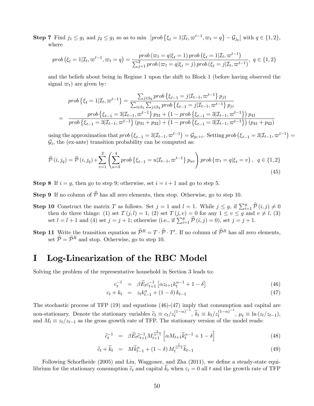**Step 7** Find  $j_1 \leq g_1$  and  $j_2 \leq g_1$  so as to min  $\left[ prob \{ \xi_t = 1 | \mathcal{I}_t, \varpi^{t-1}, \varpi_t = q \} - \mathcal{G}_{j_q} \right]$  with  $q \in \{1, 2\}$ , where

$$
prob\left(\xi_t = 1 | \mathcal{I}_t, \varpi^{t-1}, \varpi_t = q\right) = \frac{prob\left(\varpi_t = q | \xi_t = 1\right) prob\left(\xi_t = 1 | \mathcal{I}_t, \varpi^{t-1}\right)}{\sum_{j=1}^2 prob\left(\varpi_t = q | \xi_t = j\right) prob\left(\xi_t = j | \mathcal{I}_t, \varpi^{t-1}\right)}, \ q \in \{1, 2\}
$$

and the beliefs about being in Regime 1 upon the shift to Block 1 (before having observed the signal  $\varpi_t$ ) are given by:

$$
prob\{\xi_t = 1 | \mathcal{I}_t, \varpi^{t-1}\} = \frac{\sum_{j \in b_2} prob\{\xi_{t-1} = j | \mathcal{I}_{t-1}, \varpi^{t-1}\} p_{j1}}{\sum_{i \in b_1} \sum_{j \in b_2} prob\{\xi_{t-1} = j | \mathcal{I}_{t-1}, \varpi^{t-1}\} p_{ji}}
$$

$$
= \frac{prob\{\xi_{t-1} = 3 | \mathcal{I}_{t-1}, \varpi^{t-1}\} p_{31} + (1 - prob\{\xi_{t-1} = 3 | \mathcal{I}_{t-1}, \varpi^{t-1}\}) p_{41}}{prob\{\xi_{t-1} = 3 | \mathcal{I}_{t-1}, \varpi^{t-1}\} (p_{31} + p_{32}) + (1 - prob\{\xi_{t-1} = 3 | \mathcal{I}_{t-1}, \varpi^{t-1}\}) (p_{41} + p_{42})}
$$

using the approximation that  $prob(\xi_{t-1} = 3 | \mathcal{I}_{t-1}, \varpi^{t-1}) = \mathcal{G}_{g_1+i}$ . Setting  $prob(\xi_{t-1} = 3 | \mathcal{I}_{t-1}, \varpi^{t-1}) =$  $\mathcal{G}_i$ , the (ex-ante) transition probability can be computed as:

$$
\hat{\mathcal{P}}(i,j_q) = \hat{\mathcal{P}}(i,j_q) + \sum_{v=1}^{2} \left( \sum_{u=3}^{4} prob \left\{ \xi_{t-1} = u | \mathcal{I}_{t-1}, \varpi^{t-1} \right\} p_{uv} \right) prob \left\{ \varpi_t = q | \xi_t = v \right\}, \ q \in \{1,2\}
$$
\n(45)

**Step 8** If  $i = g$ , then go to step 9; otherwise, set  $i = i + 1$  and go to step 5.

- **Step 9** If no column of  $\widehat{P}$  has all zero elements, then stop. Otherwise, go to step 10.
- **Step 10** Construct the matrix T as follows. Set  $j = 1$  and  $l = 1$ . While  $j \leq g$ , if  $\sum_{i=1}^{g} \hat{\mathcal{P}}(i, j) \neq 0$ then do three things: (1) set  $T(j, l) = 1$ , (2) set  $T(j, v) = 0$  for any  $1 \le v \le g$  and  $v \neq l$ , (3) set  $l = l + 1$  and (4) set  $j = j + 1$ ; otherwise (i.e., if  $\sum_{i=1}^{g} \hat{\mathcal{P}}(i, j) = 0$ ), set  $j = j + 1$ .
- **Step 11** Write the transition equation as  $\widehat{\mathcal{P}}^R = T \cdot \widehat{\mathcal{P}} \cdot T'$ . If no column of  $\widehat{\mathcal{P}}^R$  has all zero elements, set  $\hat{\mathcal{P}} = \hat{\mathcal{P}}^R$  and stop. Otherwise, go to step 10.

# I Log-Linearization of the RBC Model

Solving the problem of the representative household in Section 3 leads to:

$$
c_t^{-1} = \beta \widetilde{E}_t c_{t+1}^{-1} \left[ \alpha z_{t+1} k_t^{\alpha - 1} + 1 - \delta \right]
$$
 (46)

$$
c_t + k_t = z_t k_{t-1}^{\alpha} + (1 - \delta) k_{t-1}
$$
\n(47)

The stochastic process of TFP (19) and equations (46)-(47) imply that consumption and capital are non-stationary. Denote the stationary variables  $\tilde{c}_t \equiv c_t / z_t^{(1-\alpha)^{-1}}$  $(t^{1-\alpha})^{-1}, \ \widetilde{k}_t \equiv k_t/z_t^{(1-\alpha)^{-1}}$  $\mu_t \equiv \ln(z_t/z_{t-1}),$ and  $M_t \equiv z_t/z_{t-1}$  as the gross growth rate of TFP. The stationary version of the model reads:

$$
\tilde{c}_t^{-1} = \beta \tilde{E}_t \tilde{c}_{t+1}^{-1} M_{t+1}^{\frac{1}{\alpha - 1}} \left[ \alpha M_{t+1} \tilde{k}_t^{\alpha - 1} + 1 - \delta \right]
$$
\n(48)

$$
\widetilde{c}_t + \widetilde{k}_t = M\widetilde{k}_{t-1}^\alpha + (1 - \delta) M_t^{\frac{1}{\alpha - 1}} \widetilde{k}_{t-1}
$$
\n(49)

Following Schorfheide (2005) and Liu, Waggoner, and Zha (2011), we define a steady-state equilibrium for the stationary consumption  $\tilde{c}_t$  and capital  $k_t$  when  $\varepsilon_t = 0$  all t and the growth rate of TFP